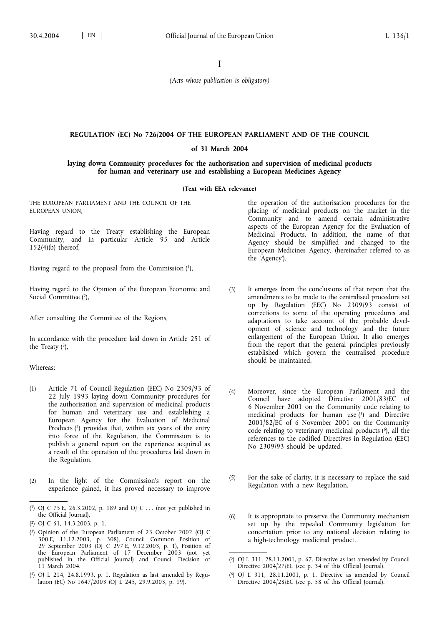I

*(Acts whose publication is obligatory)*

## **REGULATION (EC) No 726/2004 OF THE EUROPEAN PARLIAMENT AND OF THE COUNCIL**

#### **of 31 March 2004**

**laying down Community procedures for the authorisation and supervision of medicinal products for human and veterinary use and establishing a European Medicines Agency**

#### **(Text with EEA relevance)**

THE EUROPEAN PARLIAMENT AND THE COUNCIL OF THE EUROPEAN UNION,

Having regard to the Treaty establishing the European Community, and in particular Article 95 and Article 152(4)(b) thereof,

Having regard to the proposal from the Commission (1),

Having regard to the Opinion of the European Economic and Social Committee (2),

After consulting the Committee of the Regions,

In accordance with the procedure laid down in Article 251 of the Treaty  $(3)$ ,

### Whereas:

- (1) Article 71 of Council Regulation (EEC) No 2309/93 of 22 July 1993 laying down Community procedures for the authorisation and supervision of medicinal products for human and veterinary use and establishing a European Agency for the Evaluation of Medicinal Products (4) provides that, within six years of the entry into force of the Regulation, the Commission is to publish a general report on the experience acquired as a result of the operation of the procedures laid down in the Regulation.
- (2) In the light of the Commission's report on the experience gained, it has proved necessary to improve

the operation of the authorisation procedures for the placing of medicinal products on the market in the Community and to amend certain administrative aspects of the European Agency for the Evaluation of Medicinal Products. In addition, the name of that Agency should be simplified and changed to the European Medicines Agency, (hereinafter referred to as the 'Agency').

- (3) It emerges from the conclusions of that report that the amendments to be made to the centralised procedure set up by Regulation (EEC) No 2309/93 consist of corrections to some of the operating procedures and adaptations to take account of the probable development of science and technology and the future enlargement of the European Union. It also emerges from the report that the general principles previously established which govern the centralised procedure should be maintained.
- (4) Moreover, since the European Parliament and the Council have adopted Directive 2001/83/EC of 6 November 2001 on the Community code relating to medicinal products for human use (5) and Directive 2001/82/EC of 6 November 2001 on the Community code relating to veterinary medicinal products (6), all the references to the codified Directives in Regulation (EEC) No 2309/93 should be updated.
- (5) For the sake of clarity, it is necessary to replace the said Regulation with a new Regulation.
- (6) It is appropriate to preserve the Community mechanism set up by the repealed Community legislation for concertation prior to any national decision relating to a high-technology medicinal product.

<sup>(</sup> 1) OJ C 75 E, 26.3.2002, p. 189 and OJ C . . . (not yet published in the Official Journal).

<sup>(</sup> 2) OJ C 61, 14.3.2003, p. 1.

<sup>(</sup> 3) Opinion of the European Parliament of 23 October 2002 (OJ C 300 E, 11.12.2003, p. 308), Council Common Position of 29 September 2003 (OJ C 297 E, 9.12.2003, p. 1), Position of the European Parliament of 17 December 2003 (not yet published in the Official Journal) and Council Decision of 11 March 2004.

<sup>(</sup> 4) OJ L 214, 24.8.1993, p. 1. Regulation as last amended by Regulation (EC) No 1647/2003 (OJ L 245, 29.9.2003, p. 19).

<sup>(</sup> 5) OJ L 311, 28.11.2001, p. 67. Directive as last amended by Council Directive 2004/27/EC (see p. 34 of this Official Journal).

<sup>(</sup> 6) OJ L 311, 28.11.2001, p. 1. Directive as amended by Council Directive 2004/28/EC (see p. 58 of this Official Journal).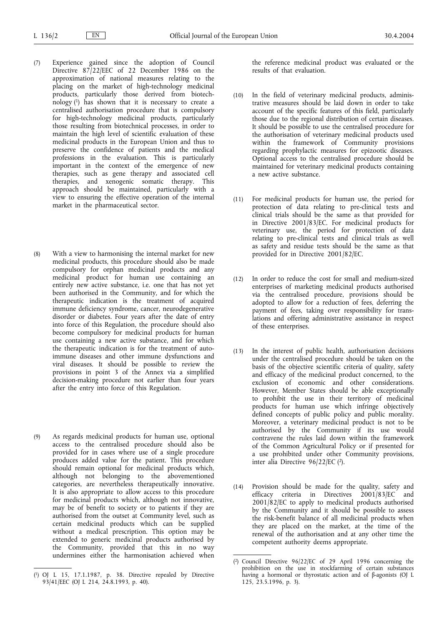- (7) Experience gained since the adoption of Council Directive 87/22/EEC of 22 December 1986 on the approximation of national measures relating to the placing on the market of high-technology medicinal products, particularly those derived from biotechnology (1) has shown that it is necessary to create a centralised authorisation procedure that is compulsory for high-technology medicinal products, particularly those resulting from biotechnical processes, in order to maintain the high level of scientific evaluation of these medicinal products in the European Union and thus to preserve the confidence of patients and the medical professions in the evaluation. This is particularly important in the context of the emergence of new therapies, such as gene therapy and associated cell therapies, and xenogenic somatic therapy. This approach should be maintained, particularly with a view to ensuring the effective operation of the internal market in the pharmaceutical sector.
- (8) With a view to harmonising the internal market for new medicinal products, this procedure should also be made compulsory for orphan medicinal products and any medicinal product for human use containing an entirely new active substance, i.e. one that has not yet been authorised in the Community, and for which the therapeutic indication is the treatment of acquired immune deficiency syndrome, cancer, neurodegenerative disorder or diabetes. Four years after the date of entry into force of this Regulation, the procedure should also become compulsory for medicinal products for human use containing a new active substance, and for which the therapeutic indication is for the treatment of autoimmune diseases and other immune dysfunctions and viral diseases. It should be possible to review the provisions in point 3 of the Annex via a simplified decision-making procedure not earlier than four years after the entry into force of this Regulation.
- (9) As regards medicinal products for human use, optional access to the centralised procedure should also be provided for in cases where use of a single procedure produces added value for the patient. This procedure should remain optional for medicinal products which, although not belonging to the abovementioned categories, are nevertheless therapeutically innovative. It is also appropriate to allow access to this procedure for medicinal products which, although not innovative, may be of benefit to society or to patients if they are authorised from the outset at Community level, such as certain medicinal products which can be supplied without a medical prescription. This option may be extended to generic medicinal products authorised by the Community, provided that this in no way undermines either the harmonisation achieved when

the reference medicinal product was evaluated or the results of that evaluation.

- (10) In the field of veterinary medicinal products, administrative measures should be laid down in order to take account of the specific features of this field, particularly those due to the regional distribution of certain diseases. It should be possible to use the centralised procedure for the authorisation of veterinary medicinal products used within the framework of Community provisions regarding prophylactic measures for epizootic diseases. Optional access to the centralised procedure should be maintained for veterinary medicinal products containing a new active substance.
- (11) For medicinal products for human use, the period for protection of data relating to pre-clinical tests and clinical trials should be the same as that provided for in Directive 2001/83/EC. For medicinal products for veterinary use, the period for protection of data relating to pre-clinical tests and clinical trials as well as safety and residue tests should be the same as that provided for in Directive 2001/82/EC.
- (12) In order to reduce the cost for small and medium-sized enterprises of marketing medicinal products authorised via the centralised procedure, provisions should be adopted to allow for a reduction of fees, deferring the payment of fees, taking over responsibility for translations and offering administrative assistance in respect of these enterprises.
- (13) In the interest of public health, authorisation decisions under the centralised procedure should be taken on the basis of the objective scientific criteria of quality, safety and efficacy of the medicinal product concerned, to the exclusion of economic and other considerations. However, Member States should be able exceptionally to prohibit the use in their territory of medicinal products for human use which infringe objectively defined concepts of public policy and public morality. Moreover, a veterinary medicinal product is not to be authorised by the Community if its use would contravene the rules laid down within the framework of the Common Agricultural Policy or if presented for a use prohibited under other Community provisions, inter alia Directive 96/22/EC (2).
- (14) Provision should be made for the quality, safety and efficacy criteria in Directives 2001/83/EC and 2001/82/EC to apply to medicinal products authorised by the Community and it should be possible to assess the risk-benefit balance of all medicinal products when they are placed on the market, at the time of the renewal of the authorisation and at any other time the competent authority deems appropriate.

<sup>(</sup> 1) OJ L 15, 17.1.1987, p. 38. Directive repealed by Directive 93/41/EEC (OJ L 214, 24.8.1993, p. 40).

<sup>(</sup> 2) Council Directive 96/22/EC of 29 April 1996 concerning the prohibition on the use in stockfarming of certain substances having a hormonal or thyrostatic action and of β-agonists (OJ L 125, 23.5.1996, p. 3).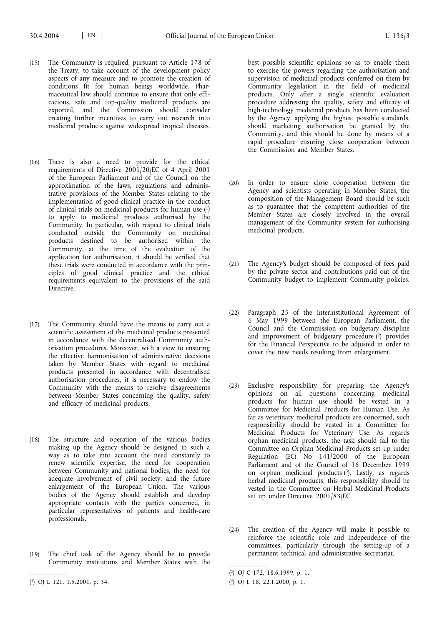- (15) The Community is required, pursuant to Article 178 of the Treaty, to take account of the development policy aspects of any measure and to promote the creation of conditions fit for human beings worldwide. Pharmaceutical law should continue to ensure that only efficacious, safe and top-quality medicinal products are exported, and the Commission should consider creating further incentives to carry out research into medicinal products against widespread tropical diseases.
- (16) There is also a need to provide for the ethical requirements of Directive 2001/20/EC of 4 April 2001 of the European Parliament and of the Council on the approximation of the laws, regulations and administrative provisions of the Member States relating to the implementation of good clinical practice in the conduct of clinical trials on medicinal products for human use (1) to apply to medicinal products authorised by the Community. In particular, with respect to clinical trials conducted outside the Community on medicinal products destined to be authorised within the Community, at the time of the evaluation of the application for authorisation, it should be verified that these trials were conducted in accordance with the principles of good clinical practice and the ethical requirements equivalent to the provisions of the said Directive.
- (17) The Community should have the means to carry out a scientific assessment of the medicinal products presented in accordance with the decentralised Community authorisation procedures. Moreover, with a view to ensuring the effective harmonisation of administrative decisions taken by Member States with regard to medicinal products presented in accordance with decentralised authorisation procedures, it is necessary to endow the Community with the means to resolve disagreements between Member States concerning the quality, safety and efficacy of medicinal products.
- (18) The structure and operation of the various bodies making up the Agency should be designed in such a way as to take into account the need constantly to renew scientific expertise, the need for cooperation between Community and national bodies, the need for adequate involvement of civil society, and the future enlargement of the European Union. The various bodies of the Agency should establish and develop appropriate contacts with the parties concerned, in particular representatives of patients and health-care professionals.
- (19) The chief task of the Agency should be to provide Community institutions and Member States with the
- ( 1) OJ L 121, 1.5.2001, p. 34.

best possible scientific opinions so as to enable them to exercise the powers regarding the authorisation and supervision of medicinal products conferred on them by Community legislation in the field of medicinal products. Only after a single scientific evaluation procedure addressing the quality, safety and efficacy of high-technology medicinal products has been conducted by the Agency, applying the highest possible standards, should marketing authorisation be granted by the Community, and this should be done by means of a rapid procedure ensuring close cooperation between the Commission and Member States.

- (20) In order to ensure close cooperation between the Agency and scientists operating in Member States, the composition of the Management Board should be such as to guarantee that the competent authorities of the Member States are closely involved in the overall management of the Community system for authorising medicinal products.
- (21) The Agency's budget should be composed of fees paid by the private sector and contributions paid out of the Community budget to implement Community policies.
- (22) Paragraph 25 of the Interinstitutional Agreement of 6 May 1999 between the European Parliament, the Council and the Commission on budgetary discipline and improvement of budgetary procedure (2) provides for the Financial Perspective to be adjusted in order to cover the new needs resulting from enlargement.
- (23) Exclusive responsibility for preparing the Agency's opinions on all questions concerning medicinal products for human use should be vested in a Committee for Medicinal Products for Human Use. As far as veterinary medicinal products are concerned, such responsibility should be vested in a Committee for Medicinal Products for Veterinary Use. As regards orphan medicinal products, the task should fall to the Committee on Orphan Medicinal Products set up under Regulation  $(EC)$  No  $141/2000$  of the European Parliament and of the Council of 16 December 1999 on orphan medicinal products (3). Lastly, as regards herbal medicinal products, this responsibility should be vested in the Committee on Herbal Medicinal Products set up under Directive 2001/83/EC.
- (24) The creation of the Agency will make it possible to reinforce the scientific role and independence of the committees, particularly through the setting-up of a permanent technical and administrative secretariat.

<sup>(</sup> 2) OJ C 172, 18.6.1999, p. 1.

<sup>(</sup> 3) OJ L 18, 22.1.2000, p. 1.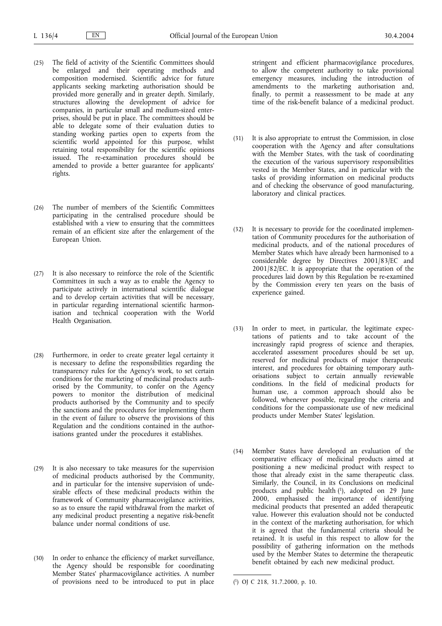- (25) The field of activity of the Scientific Committees should be enlarged and their operating methods and composition modernised. Scientific advice for future applicants seeking marketing authorisation should be provided more generally and in greater depth. Similarly, structures allowing the development of advice for companies, in particular small and medium-sized enterprises, should be put in place. The committees should be able to delegate some of their evaluation duties to standing working parties open to experts from the scientific world appointed for this purpose, whilst retaining total responsibility for the scientific opinions issued. The re-examination procedures should be amended to provide a better guarantee for applicants' rights.
- (26) The number of members of the Scientific Committees participating in the centralised procedure should be established with a view to ensuring that the committees remain of an efficient size after the enlargement of the European Union.
- (27) It is also necessary to reinforce the role of the Scientific Committees in such a way as to enable the Agency to participate actively in international scientific dialogue and to develop certain activities that will be necessary, in particular regarding international scientific harmonisation and technical cooperation with the World Health Organisation.
- (28) Furthermore, in order to create greater legal certainty it is necessary to define the responsibilities regarding the transparency rules for the Agency's work, to set certain conditions for the marketing of medicinal products authorised by the Community, to confer on the Agency powers to monitor the distribution of medicinal products authorised by the Community and to specify the sanctions and the procedures for implementing them in the event of failure to observe the provisions of this Regulation and the conditions contained in the authorisations granted under the procedures it establishes.
- (29) It is also necessary to take measures for the supervision of medicinal products authorised by the Community, and in particular for the intensive supervision of undesirable effects of these medicinal products within the framework of Community pharmacovigilance activities, so as to ensure the rapid withdrawal from the market of any medicinal product presenting a negative risk-benefit balance under normal conditions of use.
- (30) In order to enhance the efficiency of market surveillance, the Agency should be responsible for coordinating Member States' pharmacovigilance activities. A number of provisions need to be introduced to put in place

stringent and efficient pharmacovigilance procedures, to allow the competent authority to take provisional emergency measures, including the introduction of amendments to the marketing authorisation and, finally, to permit a reassessment to be made at any time of the risk-benefit balance of a medicinal product.

- (31) It is also appropriate to entrust the Commission, in close cooperation with the Agency and after consultations with the Member States, with the task of coordinating the execution of the various supervisory responsibilities vested in the Member States, and in particular with the tasks of providing information on medicinal products and of checking the observance of good manufacturing, laboratory and clinical practices.
- (32) It is necessary to provide for the coordinated implementation of Community procedures for the authorisation of medicinal products, and of the national procedures of Member States which have already been harmonised to a considerable degree by Directives 2001/83/EC and 2001/82/EC. It is appropriate that the operation of the procedures laid down by this Regulation be re-examined by the Commission every ten years on the basis of experience gained.
- (33) In order to meet, in particular, the legitimate expectations of patients and to take account of the increasingly rapid progress of science and therapies, accelerated assessment procedures should be set up, reserved for medicinal products of major therapeutic interest, and procedures for obtaining temporary authorisations subject to certain annually reviewable conditions. In the field of medicinal products for human use, a common approach should also be followed, whenever possible, regarding the criteria and conditions for the compassionate use of new medicinal products under Member States' legislation.
- (34) Member States have developed an evaluation of the comparative efficacy of medicinal products aimed at positioning a new medicinal product with respect to those that already exist in the same therapeutic class. Similarly, the Council, in its Conclusions on medicinal products and public health (1), adopted on 29 June 2000, emphasised the importance of identifying medicinal products that presented an added therapeutic value. However this evaluation should not be conducted in the context of the marketing authorisation, for which it is agreed that the fundamental criteria should be retained. It is useful in this respect to allow for the possibility of gathering information on the methods used by the Member States to determine the therapeutic benefit obtained by each new medicinal product.

<sup>(</sup> 1) OJ C 218, 31.7.2000, p. 10.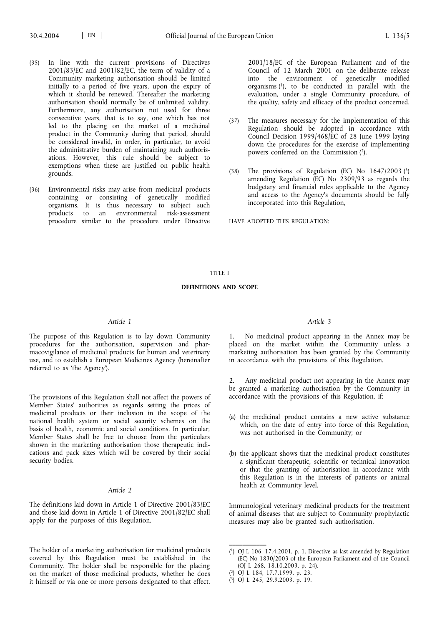- (35) In line with the current provisions of Directives  $2001/83$ /EC and  $2001/82$ /EC, the term of validity of a Community marketing authorisation should be limited initially to a period of five years, upon the expiry of which it should be renewed. Thereafter the marketing authorisation should normally be of unlimited validity. Furthermore, any authorisation not used for three consecutive years, that is to say, one which has not led to the placing on the market of a medicinal product in the Community during that period, should be considered invalid, in order, in particular, to avoid the administrative burden of maintaining such authorisations. However, this rule should be subject to exemptions when these are justified on public health grounds.
- (36) Environmental risks may arise from medicinal products containing or consisting of genetically modified organisms. It is thus necessary to subject such an environmental risk-assessment procedure similar to the procedure under Directive

2001/18/EC of the European Parliament and of the Council of 12 March 2001 on the deliberate release into the environment of genetically modified organisms (1), to be conducted in parallel with the evaluation, under a single Community procedure, of the quality, safety and efficacy of the product concerned.

- (37) The measures necessary for the implementation of this Regulation should be adopted in accordance with Council Decision 1999/468/EC of 28 June 1999 laying down the procedures for the exercise of implementing powers conferred on the Commission (2).
- (38) The provisions of Regulation (EC) No 1647/2003 (3) amending Regulation (EC) No 2309/93 as regards the budgetary and financial rules applicable to the Agency and access to the Agency's documents should be fully incorporated into this Regulation,

HAVE ADOPTED THIS REGULATION:

### TITLE I

### **DEFINITIONS AND SCOPE**

## *Article 1*

The purpose of this Regulation is to lay down Community procedures for the authorisation, supervision and pharmacovigilance of medicinal products for human and veterinary use, and to establish a European Medicines Agency (hereinafter referred to as 'the Agency').

The provisions of this Regulation shall not affect the powers of Member States' authorities as regards setting the prices of medicinal products or their inclusion in the scope of the national health system or social security schemes on the basis of health, economic and social conditions. In particular, Member States shall be free to choose from the particulars shown in the marketing authorisation those therapeutic indications and pack sizes which will be covered by their social security bodies.

## *Article 2*

The definitions laid down in Article 1 of Directive 2001/83/EC and those laid down in Article 1 of Directive 2001/82/EC shall apply for the purposes of this Regulation.

The holder of a marketing authorisation for medicinal products covered by this Regulation must be established in the Community. The holder shall be responsible for the placing on the market of those medicinal products, whether he does it himself or via one or more persons designated to that effect.

## *Article 3*

1. No medicinal product appearing in the Annex may be placed on the market within the Community unless a marketing authorisation has been granted by the Community in accordance with the provisions of this Regulation.

2. Any medicinal product not appearing in the Annex may be granted a marketing authorisation by the Community in accordance with the provisions of this Regulation, if:

- (a) the medicinal product contains a new active substance which, on the date of entry into force of this Regulation, was not authorised in the Community; or
- (b) the applicant shows that the medicinal product constitutes a significant therapeutic, scientific or technical innovation or that the granting of authorisation in accordance with this Regulation is in the interests of patients or animal health at Community level.

Immunological veterinary medicinal products for the treatment of animal diseases that are subject to Community prophylactic measures may also be granted such authorisation.

**\_\_\_\_\_\_\_\_\_\_\_**

<sup>(</sup> 1) OJ L 106, 17.4.2001, p. 1. Directive as last amended by Regulation (EC) No 1830/2003 of the European Parliament and of the Council (OJ L 268, 18.10.2003, p. 24).

<sup>(</sup> 2) OJ L 184, 17.7.1999, p. 23.

<sup>(</sup> 3) OJ L 245, 29.9.2003, p. 19.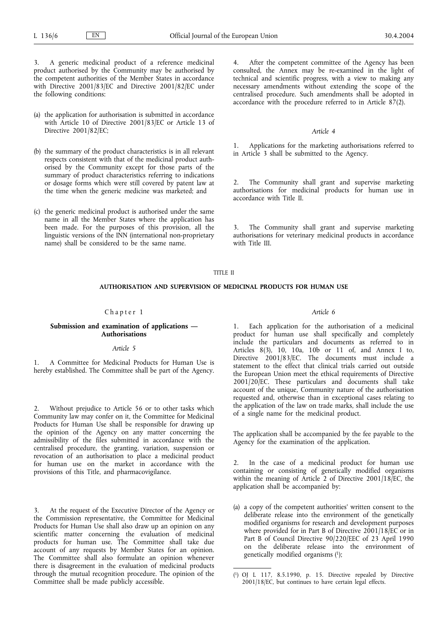3. A generic medicinal product of a reference medicinal product authorised by the Community may be authorised by the competent authorities of the Member States in accordance with Directive 2001/83/EC and Directive 2001/82/EC under the following conditions:

- (a) the application for authorisation is submitted in accordance with Article 10 of Directive 2001/83/EC or Article 13 of Directive 2001/82/EC;
- (b) the summary of the product characteristics is in all relevant respects consistent with that of the medicinal product authorised by the Community except for those parts of the summary of product characteristics referring to indications or dosage forms which were still covered by patent law at the time when the generic medicine was marketed; and
- (c) the generic medicinal product is authorised under the same name in all the Member States where the application has been made. For the purposes of this provision, all the linguistic versions of the INN (international non-proprietary name) shall be considered to be the same name.

4. After the competent committee of the Agency has been consulted, the Annex may be re-examined in the light of technical and scientific progress, with a view to making any necessary amendments without extending the scope of the centralised procedure. Such amendments shall be adopted in accordance with the procedure referred to in Article  $87(2)$ .

#### *Article 4*

1. Applications for the marketing authorisations referred to in Article 3 shall be submitted to the Agency.

2. The Community shall grant and supervise marketing authorisations for medicinal products for human use in accordance with Title II.

The Community shall grant and supervise marketing authorisations for veterinary medicinal products in accordance with Title III.

#### TITLE II

## **AUTHORISATION AND SUPERVISION OF MEDICINAL PRODUCTS FOR HUMAN USE**

## Chapter 1

## **Submission and examination of applications — Authorisations**

### *Article 5*

1. A Committee for Medicinal Products for Human Use is hereby established. The Committee shall be part of the Agency.

2. Without prejudice to Article 56 or to other tasks which Community law may confer on it, the Committee for Medicinal Products for Human Use shall be responsible for drawing up the opinion of the Agency on any matter concerning the admissibility of the files submitted in accordance with the centralised procedure, the granting, variation, suspension or revocation of an authorisation to place a medicinal product for human use on the market in accordance with the provisions of this Title, and pharmacovigilance.

3. At the request of the Executive Director of the Agency or the Commission representative, the Committee for Medicinal Products for Human Use shall also draw up an opinion on any scientific matter concerning the evaluation of medicinal products for human use. The Committee shall take due account of any requests by Member States for an opinion. The Committee shall also formulate an opinion whenever there is disagreement in the evaluation of medicinal products through the mutual recognition procedure. The opinion of the Committee shall be made publicly accessible.

## *Article 6*

1. Each application for the authorisation of a medicinal product for human use shall specifically and completely include the particulars and documents as referred to in Articles 8(3), 10, 10a, 10b or 11 of, and Annex I to, Directive 2001/83/EC. The documents must include a statement to the effect that clinical trials carried out outside the European Union meet the ethical requirements of Directive 2001/20/EC. These particulars and documents shall take account of the unique, Community nature of the authorisation requested and, otherwise than in exceptional cases relating to the application of the law on trade marks, shall include the use of a single name for the medicinal product.

The application shall be accompanied by the fee payable to the Agency for the examination of the application.

In the case of a medicinal product for human use containing or consisting of genetically modified organisms within the meaning of Article 2 of Directive 2001/18/EC, the application shall be accompanied by:

(a) a copy of the competent authorities' written consent to the deliberate release into the environment of the genetically modified organisms for research and development purposes where provided for in Part B of Directive 2001/18/EC or in Part B of Council Directive 90/220/EEC of 23 April 1990 on the deliberate release into the environment of genetically modified organisms (1);

 $(1)$ 1) OJ L 117, 8.5.1990, p. 15. Directive repealed by Directive 2001/18/EC, but continues to have certain legal effects.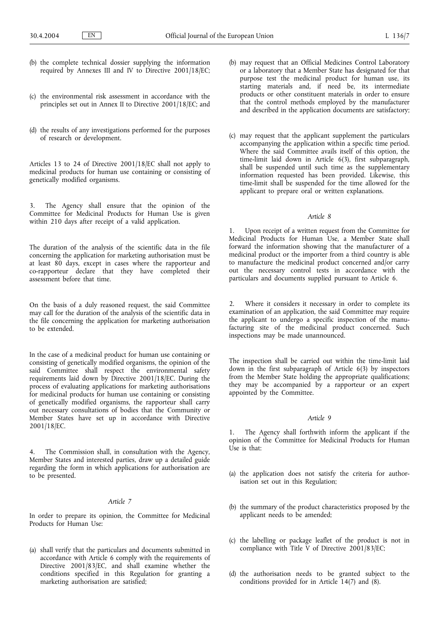- (b) the complete technical dossier supplying the information required by Annexes III and IV to Directive 2001/18/EC;
- (c) the environmental risk assessment in accordance with the principles set out in Annex II to Directive 2001/18/EC; and
- (d) the results of any investigations performed for the purposes of research or development.

Articles 13 to 24 of Directive 2001/18/EC shall not apply to medicinal products for human use containing or consisting of genetically modified organisms.

3. The Agency shall ensure that the opinion of the Committee for Medicinal Products for Human Use is given within 210 days after receipt of a valid application.

The duration of the analysis of the scientific data in the file concerning the application for marketing authorisation must be at least 80 days, except in cases where the rapporteur and co-rapporteur declare that they have completed their assessment before that time.

On the basis of a duly reasoned request, the said Committee may call for the duration of the analysis of the scientific data in the file concerning the application for marketing authorisation to be extended.

In the case of a medicinal product for human use containing or consisting of genetically modified organisms, the opinion of the said Committee shall respect the environmental safety requirements laid down by Directive 2001/18/EC. During the process of evaluating applications for marketing authorisations for medicinal products for human use containing or consisting of genetically modified organisms, the rapporteur shall carry out necessary consultations of bodies that the Community or Member States have set up in accordance with Directive 2001/18/EC.

4. The Commission shall, in consultation with the Agency, Member States and interested parties, draw up a detailed guide regarding the form in which applications for authorisation are to be presented.

### *Article 7*

In order to prepare its opinion, the Committee for Medicinal Products for Human Use:

(a) shall verify that the particulars and documents submitted in accordance with Article 6 comply with the requirements of Directive 2001/83/EC, and shall examine whether the conditions specified in this Regulation for granting a marketing authorisation are satisfied;

- (b) may request that an Official Medicines Control Laboratory or a laboratory that a Member State has designated for that purpose test the medicinal product for human use, its starting materials and, if need be, its intermediate products or other constituent materials in order to ensure that the control methods employed by the manufacturer and described in the application documents are satisfactory;
- (c) may request that the applicant supplement the particulars accompanying the application within a specific time period. Where the said Committee avails itself of this option, the time-limit laid down in Article 6(3), first subparagraph, shall be suspended until such time as the supplementary information requested has been provided. Likewise, this time-limit shall be suspended for the time allowed for the applicant to prepare oral or written explanations.

## *Article 8*

1. Upon receipt of a written request from the Committee for Medicinal Products for Human Use, a Member State shall forward the information showing that the manufacturer of a medicinal product or the importer from a third country is able to manufacture the medicinal product concerned and/or carry out the necessary control tests in accordance with the particulars and documents supplied pursuant to Article 6.

2. Where it considers it necessary in order to complete its examination of an application, the said Committee may require the applicant to undergo a specific inspection of the manufacturing site of the medicinal product concerned. Such inspections may be made unannounced.

The inspection shall be carried out within the time-limit laid down in the first subparagraph of Article 6(3) by inspectors from the Member State holding the appropriate qualifications; they may be accompanied by a rapporteur or an expert appointed by the Committee.

## *Article 9*

1. The Agency shall forthwith inform the applicant if the opinion of the Committee for Medicinal Products for Human Use is that:

- (a) the application does not satisfy the criteria for authorisation set out in this Regulation;
- (b) the summary of the product characteristics proposed by the applicant needs to be amended;
- (c) the labelling or package leaflet of the product is not in compliance with Title V of Directive 2001/83/EC;
- (d) the authorisation needs to be granted subject to the conditions provided for in Article 14(7) and (8).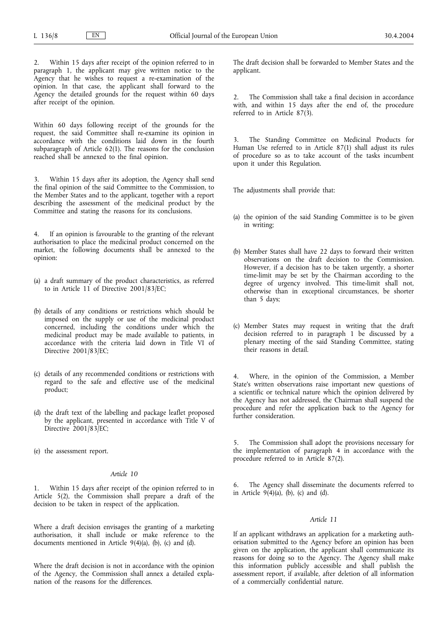Within 15 days after receipt of the opinion referred to in paragraph 1, the applicant may give written notice to the Agency that he wishes to request a re-examination of the opinion. In that case, the applicant shall forward to the Agency the detailed grounds for the request within 60 days after receipt of the opinion.

Within 60 days following receipt of the grounds for the request, the said Committee shall re-examine its opinion in accordance with the conditions laid down in the fourth subparagraph of Article 62(1). The reasons for the conclusion reached shall be annexed to the final opinion.

3. Within 15 days after its adoption, the Agency shall send the final opinion of the said Committee to the Commission, to the Member States and to the applicant, together with a report describing the assessment of the medicinal product by the Committee and stating the reasons for its conclusions.

4. If an opinion is favourable to the granting of the relevant authorisation to place the medicinal product concerned on the market, the following documents shall be annexed to the opinion:

- (a) a draft summary of the product characteristics, as referred to in Article 11 of Directive 2001/83/EC;
- (b) details of any conditions or restrictions which should be imposed on the supply or use of the medicinal product concerned, including the conditions under which the medicinal product may be made available to patients, in accordance with the criteria laid down in Title VI of Directive 2001/83/EC;
- (c) details of any recommended conditions or restrictions with regard to the safe and effective use of the medicinal product;
- (d) the draft text of the labelling and package leaflet proposed by the applicant, presented in accordance with Title V of Directive  $2001/83/EC$ ;
- (e) the assessment report.

### *Article 10*

1. Within 15 days after receipt of the opinion referred to in Article 5(2), the Commission shall prepare a draft of the decision to be taken in respect of the application.

Where a draft decision envisages the granting of a marketing authorisation, it shall include or make reference to the documents mentioned in Article 9(4)(a), (b), (c) and (d).

Where the draft decision is not in accordance with the opinion of the Agency, the Commission shall annex a detailed explanation of the reasons for the differences.

The draft decision shall be forwarded to Member States and the applicant.

The Commission shall take a final decision in accordance with, and within 15 days after the end of, the procedure referred to in Article 87(3).

The Standing Committee on Medicinal Products for Human Use referred to in Article 87(1) shall adjust its rules of procedure so as to take account of the tasks incumbent upon it under this Regulation.

The adjustments shall provide that:

- (a) the opinion of the said Standing Committee is to be given in writing;
- (b) Member States shall have 22 days to forward their written observations on the draft decision to the Commission. However, if a decision has to be taken urgently, a shorter time-limit may be set by the Chairman according to the degree of urgency involved. This time-limit shall not, otherwise than in exceptional circumstances, be shorter than 5 days;
- (c) Member States may request in writing that the draft decision referred to in paragraph 1 be discussed by a plenary meeting of the said Standing Committee, stating their reasons in detail.

4. Where, in the opinion of the Commission, a Member State's written observations raise important new questions of a scientific or technical nature which the opinion delivered by the Agency has not addressed, the Chairman shall suspend the procedure and refer the application back to the Agency for further consideration.

5. The Commission shall adopt the provisions necessary for the implementation of paragraph 4 in accordance with the procedure referred to in Article 87(2).

6. The Agency shall disseminate the documents referred to in Article  $9(4)(a)$ , (b), (c) and (d).

#### *Article 11*

If an applicant withdraws an application for a marketing authorisation submitted to the Agency before an opinion has been given on the application, the applicant shall communicate its reasons for doing so to the Agency. The Agency shall make this information publicly accessible and shall publish the assessment report, if available, after deletion of all information of a commercially confidential nature.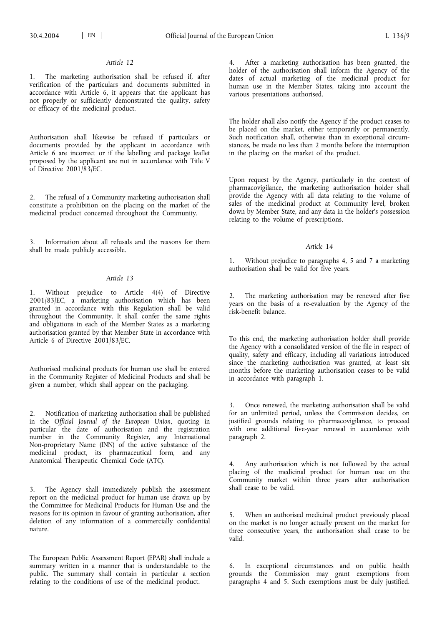1. The marketing authorisation shall be refused if, after verification of the particulars and documents submitted in accordance with Article 6, it appears that the applicant has not properly or sufficiently demonstrated the quality, safety or efficacy of the medicinal product.

Authorisation shall likewise be refused if particulars or documents provided by the applicant in accordance with Article 6 are incorrect or if the labelling and package leaflet proposed by the applicant are not in accordance with Title V of Directive 2001/83/EC.

2. The refusal of a Community marketing authorisation shall constitute a prohibition on the placing on the market of the medicinal product concerned throughout the Community.

3. Information about all refusals and the reasons for them shall be made publicly accessible.

### *Article 13*

1. Without prejudice to Article 4(4) of Directive 2001/83/EC, a marketing authorisation which has been granted in accordance with this Regulation shall be valid throughout the Community. It shall confer the same rights and obligations in each of the Member States as a marketing authorisation granted by that Member State in accordance with Article 6 of Directive 2001/83/EC.

Authorised medicinal products for human use shall be entered in the Community Register of Medicinal Products and shall be given a number, which shall appear on the packaging.

2. Notification of marketing authorisation shall be published in the *Official Journal of the European Union*, quoting in particular the date of authorisation and the registration number in the Community Register, any International Non-proprietary Name (INN) of the active substance of the medicinal product, its pharmaceutical form, and any Anatomical Therapeutic Chemical Code (ATC).

3. The Agency shall immediately publish the assessment report on the medicinal product for human use drawn up by the Committee for Medicinal Products for Human Use and the reasons for its opinion in favour of granting authorisation, after deletion of any information of a commercially confidential nature.

The European Public Assessment Report (EPAR) shall include a summary written in a manner that is understandable to the public. The summary shall contain in particular a section relating to the conditions of use of the medicinal product.

After a marketing authorisation has been granted, the holder of the authorisation shall inform the Agency of the dates of actual marketing of the medicinal product for human use in the Member States, taking into account the various presentations authorised.

The holder shall also notify the Agency if the product ceases to be placed on the market, either temporarily or permanently. Such notification shall, otherwise than in exceptional circumstances, be made no less than 2 months before the interruption in the placing on the market of the product.

Upon request by the Agency, particularly in the context of pharmacovigilance, the marketing authorisation holder shall provide the Agency with all data relating to the volume of sales of the medicinal product at Community level, broken down by Member State, and any data in the holder's possession relating to the volume of prescriptions.

### *Article 14*

Without prejudice to paragraphs 4, 5 and 7 a marketing authorisation shall be valid for five years.

The marketing authorisation may be renewed after five years on the basis of a re-evaluation by the Agency of the risk-benefit balance.

To this end, the marketing authorisation holder shall provide the Agency with a consolidated version of the file in respect of quality, safety and efficacy, including all variations introduced since the marketing authorisation was granted, at least six months before the marketing authorisation ceases to be valid in accordance with paragraph 1.

3. Once renewed, the marketing authorisation shall be valid for an unlimited period, unless the Commission decides, on justified grounds relating to pharmacovigilance, to proceed with one additional five-year renewal in accordance with paragraph 2.

4. Any authorisation which is not followed by the actual placing of the medicinal product for human use on the Community market within three years after authorisation shall cease to be valid.

5. When an authorised medicinal product previously placed on the market is no longer actually present on the market for three consecutive years, the authorisation shall cease to be valid.

6. In exceptional circumstances and on public health grounds the Commission may grant exemptions from paragraphs 4 and 5. Such exemptions must be duly justified.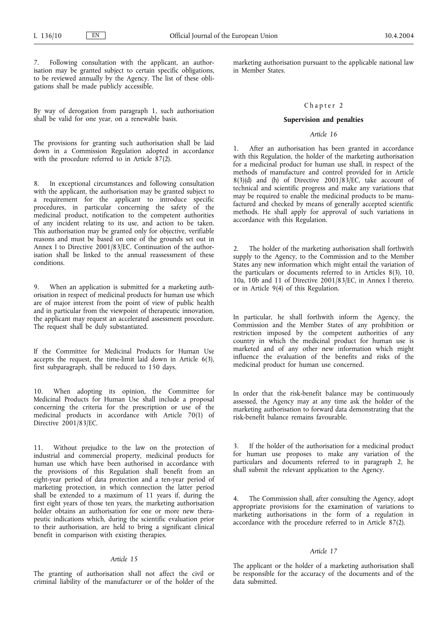Following consultation with the applicant, an authorisation may be granted subject to certain specific obligations, to be reviewed annually by the Agency. The list of these obligations shall be made publicly accessible.

By way of derogation from paragraph 1, such authorisation shall be valid for one year, on a renewable basis.

The provisions for granting such authorisation shall be laid down in a Commission Regulation adopted in accordance with the procedure referred to in Article  $87(2)$ .

8. In exceptional circumstances and following consultation with the applicant, the authorisation may be granted subject to a requirement for the applicant to introduce specific procedures, in particular concerning the safety of the medicinal product, notification to the competent authorities of any incident relating to its use, and action to be taken. This authorisation may be granted only for objective, verifiable reasons and must be based on one of the grounds set out in Annex I to Directive 2001/83/EC. Continuation of the authorisation shall be linked to the annual reassessment of these conditions.

9. When an application is submitted for a marketing authorisation in respect of medicinal products for human use which are of major interest from the point of view of public health and in particular from the viewpoint of therapeutic innovation, the applicant may request an accelerated assessment procedure. The request shall be duly substantiated.

If the Committee for Medicinal Products for Human Use accepts the request, the time-limit laid down in Article 6(3), first subparagraph, shall be reduced to 150 days.

When adopting its opinion, the Committee for Medicinal Products for Human Use shall include a proposal concerning the criteria for the prescription or use of the medicinal products in accordance with Article 70(1) of Directive 2001/83/EC.

11. Without prejudice to the law on the protection of industrial and commercial property, medicinal products for human use which have been authorised in accordance with the provisions of this Regulation shall benefit from an eight-year period of data protection and a ten-year period of marketing protection, in which connection the latter period shall be extended to a maximum of 11 years if, during the first eight years of those ten years, the marketing authorisation holder obtains an authorisation for one or more new therapeutic indications which, during the scientific evaluation prior to their authorisation, are held to bring a significant clinical benefit in comparison with existing therapies.

# *Article 15*

The granting of authorisation shall not affect the civil or criminal liability of the manufacturer or of the holder of the marketing authorisation pursuant to the applicable national law in Member States.

#### Chapter 2

#### **Supervision and penalties**

## *Article 16*

1. After an authorisation has been granted in accordance with this Regulation, the holder of the marketing authorisation for a medicinal product for human use shall, in respect of the methods of manufacture and control provided for in Article  $8(3)(d)$  and (h) of Directive 2001/83/EC, take account of technical and scientific progress and make any variations that may be required to enable the medicinal products to be manufactured and checked by means of generally accepted scientific methods. He shall apply for approval of such variations in accordance with this Regulation.

The holder of the marketing authorisation shall forthwith supply to the Agency, to the Commission and to the Member States any new information which might entail the variation of the particulars or documents referred to in Articles 8(3), 10, 10a, 10b and 11 of Directive 2001/83/EC, in Annex I thereto, or in Article 9(4) of this Regulation.

In particular, he shall forthwith inform the Agency, the Commission and the Member States of any prohibition or restriction imposed by the competent authorities of any country in which the medicinal product for human use is marketed and of any other new information which might influence the evaluation of the benefits and risks of the medicinal product for human use concerned.

In order that the risk-benefit balance may be continuously assessed, the Agency may at any time ask the holder of the marketing authorisation to forward data demonstrating that the risk-benefit balance remains favourable.

If the holder of the authorisation for a medicinal product for human use proposes to make any variation of the particulars and documents referred to in paragraph 2, he shall submit the relevant application to the Agency.

4. The Commission shall, after consulting the Agency, adopt appropriate provisions for the examination of variations to marketing authorisations in the form of a regulation in accordance with the procedure referred to in Article 87(2).

# *Article 17*

The applicant or the holder of a marketing authorisation shall be responsible for the accuracy of the documents and of the data submitted.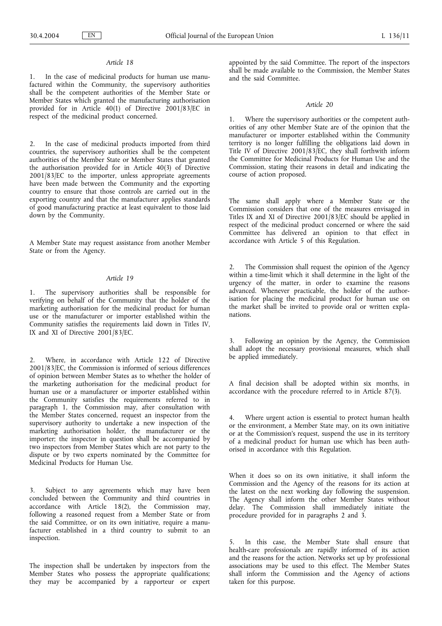1. In the case of medicinal products for human use manufactured within the Community, the supervisory authorities shall be the competent authorities of the Member State or Member States which granted the manufacturing authorisation provided for in Article 40(1) of Directive 2001/83/EC in respect of the medicinal product concerned.

2. In the case of medicinal products imported from third countries, the supervisory authorities shall be the competent authorities of the Member State or Member States that granted the authorisation provided for in Article  $40(3)$  of Directive 2001/83/EC to the importer, unless appropriate agreements have been made between the Community and the exporting country to ensure that those controls are carried out in the exporting country and that the manufacturer applies standards of good manufacturing practice at least equivalent to those laid down by the Community.

A Member State may request assistance from another Member State or from the Agency.

#### *Article 19*

1. The supervisory authorities shall be responsible for verifying on behalf of the Community that the holder of the marketing authorisation for the medicinal product for human use or the manufacturer or importer established within the Community satisfies the requirements laid down in Titles IV, IX and XI of Directive 2001/83/EC.

2. Where, in accordance with Article 122 of Directive 2001/83/EC, the Commission is informed of serious differences of opinion between Member States as to whether the holder of the marketing authorisation for the medicinal product for human use or a manufacturer or importer established within the Community satisfies the requirements referred to in paragraph 1, the Commission may, after consultation with the Member States concerned, request an inspector from the supervisory authority to undertake a new inspection of the marketing authorisation holder, the manufacturer or the importer; the inspector in question shall be accompanied by two inspectors from Member States which are not party to the dispute or by two experts nominated by the Committee for Medicinal Products for Human Use.

3. Subject to any agreements which may have been concluded between the Community and third countries in accordance with Article 18(2), the Commission may, following a reasoned request from a Member State or from the said Committee, or on its own initiative, require a manufacturer established in a third country to submit to an inspection.

The inspection shall be undertaken by inspectors from the Member States who possess the appropriate qualifications; they may be accompanied by a rapporteur or expert appointed by the said Committee. The report of the inspectors shall be made available to the Commission, the Member States and the said Committee.

### *Article 20*

1. Where the supervisory authorities or the competent authorities of any other Member State are of the opinion that the manufacturer or importer established within the Community territory is no longer fulfilling the obligations laid down in Title IV of Directive 2001/83/EC, they shall forthwith inform the Committee for Medicinal Products for Human Use and the Commission, stating their reasons in detail and indicating the course of action proposed.

The same shall apply where a Member State or the Commission considers that one of the measures envisaged in Titles IX and XI of Directive 2001/83/EC should be applied in respect of the medicinal product concerned or where the said Committee has delivered an opinion to that effect in accordance with Article 5 of this Regulation.

2. The Commission shall request the opinion of the Agency within a time-limit which it shall determine in the light of the urgency of the matter, in order to examine the reasons advanced. Whenever practicable, the holder of the authorisation for placing the medicinal product for human use on the market shall be invited to provide oral or written explanations.

3. Following an opinion by the Agency, the Commission shall adopt the necessary provisional measures, which shall be applied immediately.

A final decision shall be adopted within six months, in accordance with the procedure referred to in Article 87(3).

4. Where urgent action is essential to protect human health or the environment, a Member State may, on its own initiative or at the Commission's request, suspend the use in its territory of a medicinal product for human use which has been authorised in accordance with this Regulation.

When it does so on its own initiative, it shall inform the Commission and the Agency of the reasons for its action at the latest on the next working day following the suspension. The Agency shall inform the other Member States without delay. The Commission shall immediately initiate the procedure provided for in paragraphs 2 and 3.

5. In this case, the Member State shall ensure that health-care professionals are rapidly informed of its action and the reasons for the action. Networks set up by professional associations may be used to this effect. The Member States shall inform the Commission and the Agency of actions taken for this purpose.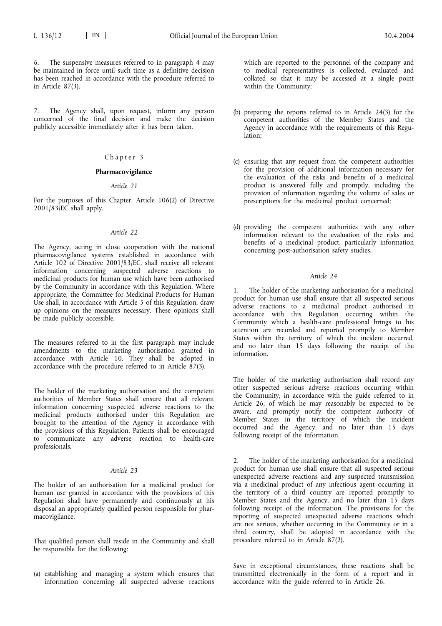6. The suspensive measures referred to in paragraph 4 may be maintained in force until such time as a definitive decision has been reached in accordance with the procedure referred to in Article 87(3).

7. The Agency shall, upon request, inform any person concerned of the final decision and make the decision publicly accessible immediately after it has been taken.

# Chapter 3

## **Pharmacovigilance**

#### *Article 21*

For the purposes of this Chapter, Article 106(2) of Directive 2001/83/EC shall apply.

### *Article 22*

The Agency, acting in close cooperation with the national pharmacovigilance systems established in accordance with Article 102 of Directive 2001/83/EC, shall receive all relevant information concerning suspected adverse reactions to medicinal products for human use which have been authorised by the Community in accordance with this Regulation. Where appropriate, the Committee for Medicinal Products for Human Use shall, in accordance with Article 5 of this Regulation, draw up opinions on the measures necessary. These opinions shall be made publicly accessible.

The measures referred to in the first paragraph may include amendments to the marketing authorisation granted in accordance with Article 10. They shall be adopted in accordance with the procedure referred to in Article  $\frac{87}{3}$ .

The holder of the marketing authorisation and the competent authorities of Member States shall ensure that all relevant information concerning suspected adverse reactions to the medicinal products authorised under this Regulation are brought to the attention of the Agency in accordance with the provisions of this Regulation. Patients shall be encouraged to communicate any adverse reaction to health-care professionals.

# *Article 23*

The holder of an authorisation for a medicinal product for human use granted in accordance with the provisions of this Regulation shall have permanently and continuously at his disposal an appropriately qualified person responsible for pharmacovigilance.

That qualified person shall reside in the Community and shall be responsible for the following:

(a) establishing and managing a system which ensures that information concerning all suspected adverse reactions which are reported to the personnel of the company and to medical representatives is collected, evaluated and collated so that it may be accessed at a single point within the Community;

- (b) preparing the reports referred to in Article 24(3) for the competent authorities of the Member States and the Agency in accordance with the requirements of this Regulation;
- (c) ensuring that any request from the competent authorities for the provision of additional information necessary for the evaluation of the risks and benefits of a medicinal product is answered fully and promptly, including the provision of information regarding the volume of sales or prescriptions for the medicinal product concerned;
- (d) providing the competent authorities with any other information relevant to the evaluation of the risks and benefits of a medicinal product, particularly information concerning post-authorisation safety studies.

## *Article 24*

The holder of the marketing authorisation for a medicinal product for human use shall ensure that all suspected serious adverse reactions to a medicinal product authorised in accordance with this Regulation occurring within the Community which a health-care professional brings to his attention are recorded and reported promptly to Member States within the territory of which the incident occurred, and no later than 15 days following the receipt of the information.

The holder of the marketing authorisation shall record any other suspected serious adverse reactions occurring within the Community, in accordance with the guide referred to in Article 26, of which he may reasonably be expected to be aware, and promptly notify the competent authority of Member States in the territory of which the incident occurred and the Agency, and no later than 15 days following receipt of the information.

The holder of the marketing authorisation for a medicinal product for human use shall ensure that all suspected serious unexpected adverse reactions and any suspected transmission via a medicinal product of any infectious agent occurring in the territory of a third country are reported promptly to Member States and the Agency, and no later than 15 days following receipt of the information. The provisions for the reporting of suspected unexpected adverse reactions which are not serious, whether occurring in the Community or in a third country, shall be adopted in accordance with the procedure referred to in Article 87(2).

Save in exceptional circumstances, these reactions shall be transmitted electronically in the form of a report and in accordance with the guide referred to in Article 26.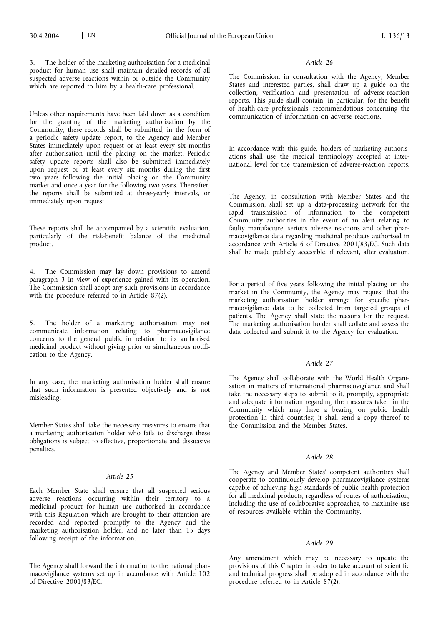The holder of the marketing authorisation for a medicinal product for human use shall maintain detailed records of all suspected adverse reactions within or outside the Community which are reported to him by a health-care professional.

Unless other requirements have been laid down as a condition for the granting of the marketing authorisation by the Community, these records shall be submitted, in the form of a periodic safety update report, to the Agency and Member States immediately upon request or at least every six months after authorisation until the placing on the market. Periodic safety update reports shall also be submitted immediately upon request or at least every six months during the first two years following the initial placing on the Community market and once a year for the following two years. Thereafter, the reports shall be submitted at three-yearly intervals, or immediately upon request.

These reports shall be accompanied by a scientific evaluation, particularly of the risk-benefit balance of the medicinal product.

4. The Commission may lay down provisions to amend paragraph 3 in view of experience gained with its operation. The Commission shall adopt any such provisions in accordance with the procedure referred to in Article 87(2).

5. The holder of a marketing authorisation may not communicate information relating to pharmacovigilance concerns to the general public in relation to its authorised medicinal product without giving prior or simultaneous notification to the Agency.

In any case, the marketing authorisation holder shall ensure that such information is presented objectively and is not misleading.

Member States shall take the necessary measures to ensure that a marketing authorisation holder who fails to discharge these obligations is subject to effective, proportionate and dissuasive penalties.

## *Article 25*

Each Member State shall ensure that all suspected serious adverse reactions occurring within their territory to a medicinal product for human use authorised in accordance with this Regulation which are brought to their attention are recorded and reported promptly to the Agency and the marketing authorisation holder, and no later than 15 days following receipt of the information.

The Agency shall forward the information to the national pharmacovigilance systems set up in accordance with Article 102 of Directive 2001/83/EC.

### *Article 26*

The Commission, in consultation with the Agency, Member States and interested parties, shall draw up a guide on the collection, verification and presentation of adverse-reaction reports. This guide shall contain, in particular, for the benefit of health-care professionals, recommendations concerning the communication of information on adverse reactions.

In accordance with this guide, holders of marketing authorisations shall use the medical terminology accepted at international level for the transmission of adverse-reaction reports.

The Agency, in consultation with Member States and the Commission, shall set up a data-processing network for the rapid transmission of information to the competent Community authorities in the event of an alert relating to faulty manufacture, serious adverse reactions and other pharmacovigilance data regarding medicinal products authorised in accordance with Article 6 of Directive 2001/83/EC. Such data shall be made publicly accessible, if relevant, after evaluation.

For a period of five years following the initial placing on the market in the Community, the Agency may request that the marketing authorisation holder arrange for specific pharmacovigilance data to be collected from targeted groups of patients. The Agency shall state the reasons for the request. The marketing authorisation holder shall collate and assess the data collected and submit it to the Agency for evaluation.

# *Article 27*

The Agency shall collaborate with the World Health Organisation in matters of international pharmacovigilance and shall take the necessary steps to submit to it, promptly, appropriate and adequate information regarding the measures taken in the Community which may have a bearing on public health protection in third countries; it shall send a copy thereof to the Commission and the Member States.

### *Article 28*

The Agency and Member States' competent authorities shall cooperate to continuously develop pharmacovigilance systems capable of achieving high standards of public health protection for all medicinal products, regardless of routes of authorisation, including the use of collaborative approaches, to maximise use of resources available within the Community.

## *Article 29*

Any amendment which may be necessary to update the provisions of this Chapter in order to take account of scientific and technical progress shall be adopted in accordance with the procedure referred to in Article  $87(2)$ .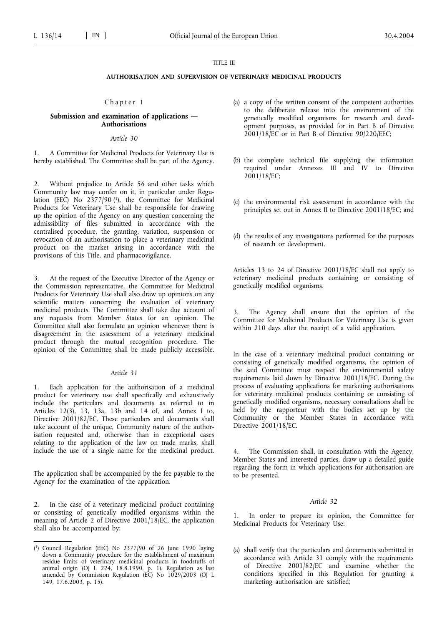### TITLE III

## **AUTHORISATION AND SUPERVISION OF VETERINARY MEDICINAL PRODUCTS**

## Chapter 1

#### **Submission and examination of applications — Authorisations**

### *Article 30*

1. A Committee for Medicinal Products for Veterinary Use is hereby established. The Committee shall be part of the Agency.

2. Without prejudice to Article 56 and other tasks which Community law may confer on it, in particular under Regulation (EEC) No 2377/90 (1), the Committee for Medicinal Products for Veterinary Use shall be responsible for drawing up the opinion of the Agency on any question concerning the admissibility of files submitted in accordance with the centralised procedure, the granting, variation, suspension or revocation of an authorisation to place a veterinary medicinal product on the market arising in accordance with the provisions of this Title, and pharmacovigilance.

At the request of the Executive Director of the Agency or the Commission representative, the Committee for Medicinal Products for Veterinary Use shall also draw up opinions on any scientific matters concerning the evaluation of veterinary medicinal products. The Committee shall take due account of any requests from Member States for an opinion. The Committee shall also formulate an opinion whenever there is disagreement in the assessment of a veterinary medicinal product through the mutual recognition procedure. The opinion of the Committee shall be made publicly accessible.

#### *Article 31*

Each application for the authorisation of a medicinal product for veterinary use shall specifically and exhaustively include the particulars and documents as referred to in Articles 12(3), 13, 13a, 13b and 14 of, and Annex I to, Directive 2001/82/EC. These particulars and documents shall take account of the unique, Community nature of the authorisation requested and, otherwise than in exceptional cases relating to the application of the law on trade marks, shall include the use of a single name for the medicinal product.

The application shall be accompanied by the fee payable to the Agency for the examination of the application.

2. In the case of a veterinary medicinal product containing or consisting of genetically modified organisms within the meaning of Article 2 of Directive 2001/18/EC, the application shall also be accompanied by:

- (a) a copy of the written consent of the competent authorities to the deliberate release into the environment of the genetically modified organisms for research and development purposes, as provided for in Part B of Directive  $2001/18$ <sup>EC</sup> or in Part B of Directive 90/220/EEC;
- (b) the complete technical file supplying the information required under Annexes III and IV to Directive 2001/18/EC;
- (c) the environmental risk assessment in accordance with the principles set out in Annex II to Directive 2001/18/EC; and
- (d) the results of any investigations performed for the purposes of research or development.

Articles 13 to 24 of Directive 2001/18/EC shall not apply to veterinary medicinal products containing or consisting of genetically modified organisms.

The Agency shall ensure that the opinion of the Committee for Medicinal Products for Veterinary Use is given within 210 days after the receipt of a valid application.

In the case of a veterinary medicinal product containing or consisting of genetically modified organisms, the opinion of the said Committee must respect the environmental safety requirements laid down by Directive 2001/18/EC. During the process of evaluating applications for marketing authorisations for veterinary medicinal products containing or consisting of genetically modified organisms, necessary consultations shall be held by the rapporteur with the bodies set up by the Community or the Member States in accordance with Directive 2001/18/EC.

4. The Commission shall, in consultation with the Agency, Member States and interested parties, draw up a detailed guide regarding the form in which applications for authorisation are to be presented.

#### *Article 32*

In order to prepare its opinion, the Committee for Medicinal Products for Veterinary Use:

(a) shall verify that the particulars and documents submitted in accordance with Article 31 comply with the requirements of Directive 2001/82/EC and examine whether the conditions specified in this Regulation for granting a marketing authorisation are satisfied;

<sup>(</sup> 1) Council Regulation (EEC) No 2377/90 of 26 June 1990 laying down a Community procedure for the establishment of maximum residue limits of veterinary medicinal products in foodstuffs of animal origin (OJ L 224, 18.8.1990, p. 1). Regulation as last amended by Commission Regulation (EC) No 1029/2003 (OJ L 149, 17.6.2003, p. 15).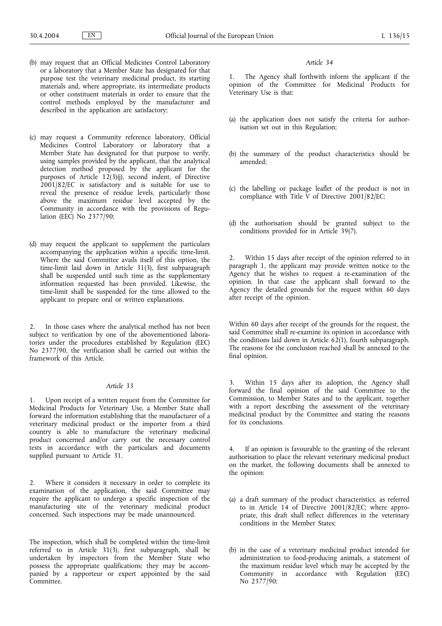- (b) may request that an Official Medicines Control Laboratory or a laboratory that a Member State has designated for that purpose test the veterinary medicinal product, its starting materials and, where appropriate, its intermediate products or other constituent materials in order to ensure that the control methods employed by the manufacturer and described in the application are satisfactory;
- (c) may request a Community reference laboratory, Official Medicines Control Laboratory or laboratory that a Member State has designated for that purpose to verify, using samples provided by the applicant, that the analytical detection method proposed by the applicant for the purposes of Article  $12(3)(j)$ , second indent, of Directive 2001/82/EC is satisfactory and is suitable for use to reveal the presence of residue levels, particularly those above the maximum residue level accepted by the Community in accordance with the provisions of Regulation (EEC) No 2377/90;
- (d) may request the applicant to supplement the particulars accompanying the application within a specific time-limit. Where the said Committee avails itself of this option, the time-limit laid down in Article 31(3), first subparagraph shall be suspended until such time as the supplementary information requested has been provided. Likewise, the time-limit shall be suspended for the time allowed to the applicant to prepare oral or written explanations.

2. In those cases where the analytical method has not been subject to verification by one of the abovementioned laboratories under the procedures established by Regulation (EEC) No 2377/90, the verification shall be carried out within the framework of this Article.

#### *Article 33*

1. Upon receipt of a written request from the Committee for Medicinal Products for Veterinary Use, a Member State shall forward the information establishing that the manufacturer of a veterinary medicinal product or the importer from a third country is able to manufacture the veterinary medicinal product concerned and/or carry out the necessary control tests in accordance with the particulars and documents supplied pursuant to Article 31.

2. Where it considers it necessary in order to complete its examination of the application, the said Committee may require the applicant to undergo a specific inspection of the manufacturing site of the veterinary medicinal product concerned. Such inspections may be made unannounced.

The inspection, which shall be completed within the time-limit referred to in Article 31(3), first subparagraph, shall be undertaken by inspectors from the Member State who possess the appropriate qualifications; they may be accompanied by a rapporteur or expert appointed by the said Committee.

#### *Article 34*

The Agency shall forthwith inform the applicant if the opinion of the Committee for Medicinal Products for Veterinary Use is that:

- (a) the application does not satisfy the criteria for authorisation set out in this Regulation;
- (b) the summary of the product characteristics should be amended;
- (c) the labelling or package leaflet of the product is not in compliance with Title  $\bar{V}$  of Directive 2001/82/EC;
- (d) the authorisation should be granted subject to the conditions provided for in Article 39(7).

2. Within 15 days after receipt of the opinion referred to in paragraph 1, the applicant may provide written notice to the Agency that he wishes to request a re-examination of the opinion. In that case the applicant shall forward to the  $\Lambda$  gency the detailed grounds for the request within 60 days after receipt of the opinion.

Within 60 days after receipt of the grounds for the request, the said Committee shall re-examine its opinion in accordance with the conditions laid down in Article  $62(1)$ , fourth subparagraph. The reasons for the conclusion reached shall be annexed to the final opinion.

3. Within 15 days after its adoption, the Agency shall forward the final opinion of the said Committee to the Commission, to Member States and to the applicant, together with a report describing the assessment of the veterinary medicinal product by the Committee and stating the reasons for its conclusions.

4. If an opinion is favourable to the granting of the relevant authorisation to place the relevant veterinary medicinal product on the market, the following documents shall be annexed to the opinion:

- (a) a draft summary of the product characteristics, as referred to in Article 14 of Directive 2001/82/EC; where appropriate, this draft shall reflect differences in the veterinary conditions in the Member States;
- (b) in the case of a veterinary medicinal product intended for administration to food-producing animals, a statement of the maximum residue level which may be accepted by the Community in accordance with Regulation (EEC) No 2377/90;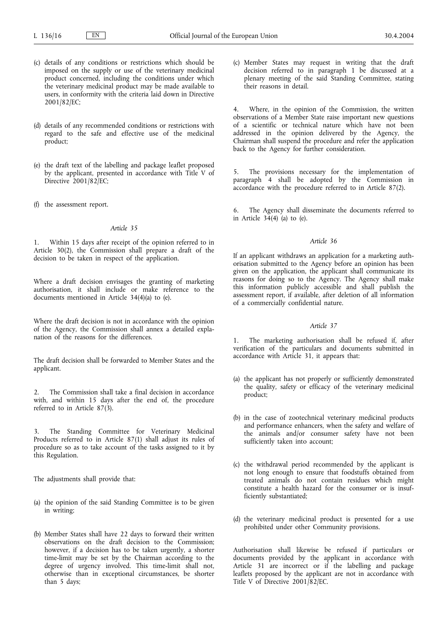- (c) details of any conditions or restrictions which should be imposed on the supply or use of the veterinary medicinal product concerned, including the conditions under which the veterinary medicinal product may be made available to users, in conformity with the criteria laid down in Directive 2001/82/EC;
- (d) details of any recommended conditions or restrictions with regard to the safe and effective use of the medicinal product;
- (e) the draft text of the labelling and package leaflet proposed by the applicant, presented in accordance with Title V of Directive 2001/82/EC;
- (f) the assessment report.

1. Within 15 days after receipt of the opinion referred to in Article 30(2), the Commission shall prepare a draft of the decision to be taken in respect of the application.

Where a draft decision envisages the granting of marketing authorisation, it shall include or make reference to the documents mentioned in Article 34(4)(a) to (e).

Where the draft decision is not in accordance with the opinion of the Agency, the Commission shall annex a detailed explanation of the reasons for the differences.

The draft decision shall be forwarded to Member States and the applicant.

2. The Commission shall take a final decision in accordance with, and within 15 days after the end of, the procedure referred to in Article 87(3).

3. The Standing Committee for Veterinary Medicinal Products referred to in Article 87(1) shall adjust its rules of procedure so as to take account of the tasks assigned to it by this Regulation.

The adjustments shall provide that:

- (a) the opinion of the said Standing Committee is to be given in writing;
- (b) Member States shall have 22 days to forward their written observations on the draft decision to the Commission; however, if a decision has to be taken urgently, a shorter time-limit may be set by the Chairman according to the degree of urgency involved. This time-limit shall not, otherwise than in exceptional circumstances, be shorter than 5 days;

(c) Member States may request in writing that the draft decision referred to in paragraph 1 be discussed at a plenary meeting of the said Standing Committee, stating their reasons in detail.

4. Where, in the opinion of the Commission, the written observations of a Member State raise important new questions of a scientific or technical nature which have not been addressed in the opinion delivered by the Agency, the Chairman shall suspend the procedure and refer the application back to the Agency for further consideration.

5. The provisions necessary for the implementation of paragraph 4 shall be adopted by the Commission in accordance with the procedure referred to in Article 87(2).

The Agency shall disseminate the documents referred to in Article  $34(4)$  (a) to (e).

## *Article 36*

If an applicant withdraws an application for a marketing authorisation submitted to the Agency before an opinion has been given on the application, the applicant shall communicate its reasons for doing so to the Agency. The Agency shall make this information publicly accessible and shall publish the assessment report, if available, after deletion of all information of a commercially confidential nature.

#### *Article 37*

1. The marketing authorisation shall be refused if, after verification of the particulars and documents submitted in accordance with Article 31, it appears that:

- (a) the applicant has not properly or sufficiently demonstrated the quality, safety or efficacy of the veterinary medicinal product;
- (b) in the case of zootechnical veterinary medicinal products and performance enhancers, when the safety and welfare of the animals and/or consumer safety have not been sufficiently taken into account;
- (c) the withdrawal period recommended by the applicant is not long enough to ensure that foodstuffs obtained from treated animals do not contain residues which might constitute a health hazard for the consumer or is insufficiently substantiated;
- (d) the veterinary medicinal product is presented for a use prohibited under other Community provisions.

Authorisation shall likewise be refused if particulars or documents provided by the applicant in accordance with Article 31 are incorrect or if the labelling and package leaflets proposed by the applicant are not in accordance with Title V of Directive 2001/82/EC.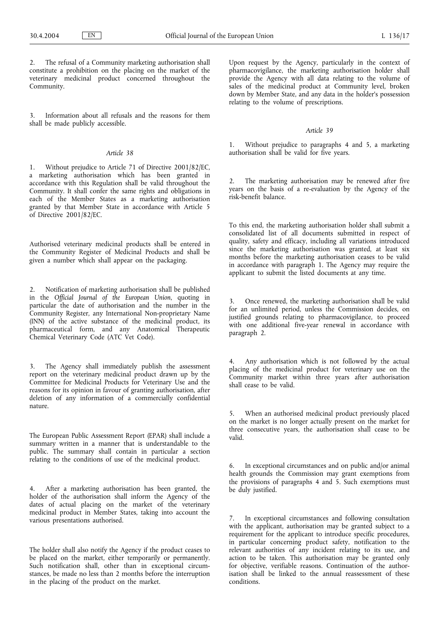The refusal of a Community marketing authorisation shall constitute a prohibition on the placing on the market of the veterinary medicinal product concerned throughout the Community.

Information about all refusals and the reasons for them shall be made publicly accessible.

## *Article 38*

1. Without prejudice to Article 71 of Directive 2001/82/EC, a marketing authorisation which has been granted in accordance with this Regulation shall be valid throughout the Community. It shall confer the same rights and obligations in each of the Member States as a marketing authorisation granted by that Member State in accordance with Article 5 of Directive 2001/82/EC.

Authorised veterinary medicinal products shall be entered in the Community Register of Medicinal Products and shall be given a number which shall appear on the packaging.

2. Notification of marketing authorisation shall be published in the *Official Journal of the European Union*, quoting in particular the date of authorisation and the number in the Community Register, any International Non-proprietary Name (INN) of the active substance of the medicinal product, its pharmaceutical form, and any Anatomical Therapeutic Chemical Veterinary Code (ATC Vet Code).

3. The Agency shall immediately publish the assessment report on the veterinary medicinal product drawn up by the Committee for Medicinal Products for Veterinary Use and the reasons for its opinion in favour of granting authorisation, after deletion of any information of a commercially confidential nature.

The European Public Assessment Report (EPAR) shall include a summary written in a manner that is understandable to the public. The summary shall contain in particular a section relating to the conditions of use of the medicinal product.

4. After a marketing authorisation has been granted, the holder of the authorisation shall inform the Agency of the dates of actual placing on the market of the veterinary medicinal product in Member States, taking into account the various presentations authorised.

The holder shall also notify the Agency if the product ceases to be placed on the market, either temporarily or permanently. Such notification shall, other than in exceptional circumstances, be made no less than 2 months before the interruption in the placing of the product on the market.

Upon request by the Agency, particularly in the context of pharmacovigilance, the marketing authorisation holder shall provide the Agency with all data relating to the volume of sales of the medicinal product at Community level, broken down by Member State, and any data in the holder's possession relating to the volume of prescriptions.

# *Article 39*

1. Without prejudice to paragraphs 4 and 5, a marketing authorisation shall be valid for five vears.

2. The marketing authorisation may be renewed after five years on the basis of a re-evaluation by the Agency of the risk-benefit balance.

To this end, the marketing authorisation holder shall submit a consolidated list of all documents submitted in respect of quality, safety and efficacy, including all variations introduced since the marketing authorisation was granted, at least six months before the marketing authorisation ceases to be valid in accordance with paragraph 1. The Agency may require the applicant to submit the listed documents at any time.

3. Once renewed, the marketing authorisation shall be valid for an unlimited period, unless the Commission decides, on justified grounds relating to pharmacovigilance, to proceed with one additional five-year renewal in accordance with paragraph 2.

4. Any authorisation which is not followed by the actual placing of the medicinal product for veterinary use on the Community market within three years after authorisation shall cease to be valid.

5. When an authorised medicinal product previously placed on the market is no longer actually present on the market for three consecutive years, the authorisation shall cease to be valid.

6. In exceptional circumstances and on public and/or animal health grounds the Commission may grant exemptions from the provisions of paragraphs 4 and 5. Such exemptions must be duly justified.

7. In exceptional circumstances and following consultation with the applicant, authorisation may be granted subject to a requirement for the applicant to introduce specific procedures, in particular concerning product safety, notification to the relevant authorities of any incident relating to its use, and action to be taken. This authorisation may be granted only for objective, verifiable reasons. Continuation of the authorisation shall be linked to the annual reassessment of these conditions.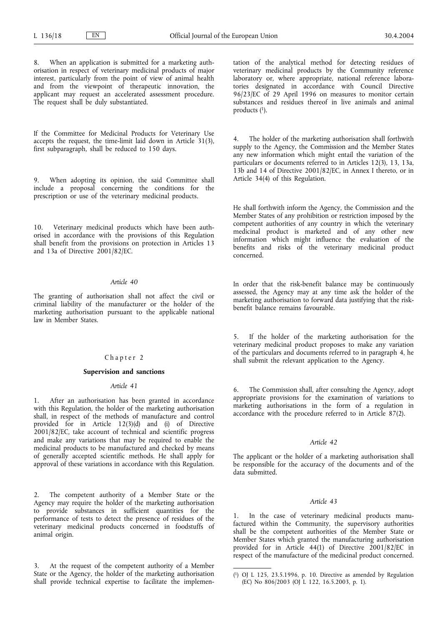When an application is submitted for a marketing authorisation in respect of veterinary medicinal products of major interest, particularly from the point of view of animal health and from the viewpoint of therapeutic innovation, the applicant may request an accelerated assessment procedure. The request shall be duly substantiated.

If the Committee for Medicinal Products for Veterinary Use accepts the request, the time-limit laid down in Article 31(3), first subparagraph, shall be reduced to 150 days.

9. When adopting its opinion, the said Committee shall include a proposal concerning the conditions for the prescription or use of the veterinary medicinal products.

10. Veterinary medicinal products which have been authorised in accordance with the provisions of this Regulation shall benefit from the provisions on protection in Articles 13 and 13a of Directive 2001/82/EC.

# *Article 40*

The granting of authorisation shall not affect the civil or criminal liability of the manufacturer or the holder of the marketing authorisation pursuant to the applicable national law in Member States.

# Chapter 2

### **Supervision and sanctions**

# *Article 41*

After an authorisation has been granted in accordance with this Regulation, the holder of the marketing authorisation shall, in respect of the methods of manufacture and control provided for in Article  $12(3)(d)$  and  $(i)$  of Directive 2001/82/EC, take account of technical and scientific progress and make any variations that may be required to enable the medicinal products to be manufactured and checked by means of generally accepted scientific methods. He shall apply for approval of these variations in accordance with this Regulation.

2. The competent authority of a Member State or the Agency may require the holder of the marketing authorisation to provide substances in sufficient quantities for the performance of tests to detect the presence of residues of the veterinary medicinal products concerned in foodstuffs of animal origin.

3. At the request of the competent authority of a Member State or the Agency, the holder of the marketing authorisation shall provide technical expertise to facilitate the implementation of the analytical method for detecting residues of veterinary medicinal products by the Community reference laboratory or, where appropriate, national reference laboratories designated in accordance with Council Directive 96/23/EC of 29 April 1996 on measures to monitor certain substances and residues thereof in live animals and animal products  $(1)$ .

4. The holder of the marketing authorisation shall forthwith supply to the Agency, the Commission and the Member States any new information which might entail the variation of the particulars or documents referred to in Articles 12(3), 13, 13a, 13b and 14 of Directive 2001/82/EC, in Annex I thereto, or in Article 34(4) of this Regulation.

He shall forthwith inform the Agency, the Commission and the Member States of any prohibition or restriction imposed by the competent authorities of any country in which the veterinary medicinal product is marketed and of any other new information which might influence the evaluation of the benefits and risks of the veterinary medicinal product concerned.

In order that the risk-benefit balance may be continuously assessed, the Agency may at any time ask the holder of the marketing authorisation to forward data justifying that the riskbenefit balance remains favourable.

5. If the holder of the marketing authorisation for the veterinary medicinal product proposes to make any variation of the particulars and documents referred to in paragraph 4, he shall submit the relevant application to the Agency.

6. The Commission shall, after consulting the Agency, adopt appropriate provisions for the examination of variations to marketing authorisations in the form of a regulation in accordance with the procedure referred to in Article 87(2).

## *Article 42*

The applicant or the holder of a marketing authorisation shall be responsible for the accuracy of the documents and of the data submitted.

### *Article 43*

1. In the case of veterinary medicinal products manufactured within the Community, the supervisory authorities shall be the competent authorities of the Member State or Member States which granted the manufacturing authorisation provided for in Article 44(1) of Directive 2001/82/EC in respect of the manufacture of the medicinal product concerned.

<sup>(</sup> 1) OJ L 125, 23.5.1996, p. 10. Directive as amended by Regulation  $(\overline{EC})$  No 806/2003 (OJ L 122, 16.5.2003, p. 1).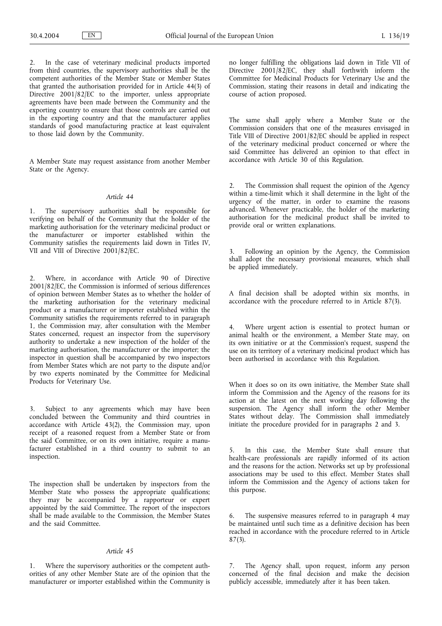2. In the case of veterinary medicinal products imported from third countries, the supervisory authorities shall be the competent authorities of the Member State or Member States that granted the authorisation provided for in Article 44(3) of Directive 2001/82/EC to the importer, unless appropriate agreements have been made between the Community and the exporting country to ensure that those controls are carried out in the exporting country and that the manufacturer applies standards of good manufacturing practice at least equivalent to those laid down by the Community.

A Member State may request assistance from another Member State or the Agency.

### *Article 44*

1. The supervisory authorities shall be responsible for verifying on behalf of the Community that the holder of the marketing authorisation for the veterinary medicinal product or the manufacturer or importer established within the Community satisfies the requirements laid down in Titles IV, VII and VIII of Directive 2001/82/EC.

2. Where, in accordance with Article 90 of Directive 2001/82/EC, the Commission is informed of serious differences of opinion between Member States as to whether the holder of the marketing authorisation for the veterinary medicinal product or a manufacturer or importer established within the Community satisfies the requirements referred to in paragraph 1, the Commission may, after consultation with the Member States concerned, request an inspector from the supervisory authority to undertake a new inspection of the holder of the marketing authorisation, the manufacturer or the importer; the inspector in question shall be accompanied by two inspectors from Member States which are not party to the dispute and/or by two experts nominated by the Committee for Medicinal Products for Veterinary Use.

3. Subject to any agreements which may have been concluded between the Community and third countries in accordance with Article 43(2), the Commission may, upon receipt of a reasoned request from a Member State or from the said Committee, or on its own initiative, require a manufacturer established in a third country to submit to an inspection.

The inspection shall be undertaken by inspectors from the Member State who possess the appropriate qualifications; they may be accompanied by a rapporteur or expert appointed by the said Committee. The report of the inspectors shall be made available to the Commission, the Member States and the said Committee.

#### *Article 45*

1. Where the supervisory authorities or the competent authorities of any other Member State are of the opinion that the manufacturer or importer established within the Community is

no longer fulfilling the obligations laid down in Title VII of Directive 2001/82/EC, they shall forthwith inform the Committee for Medicinal Products for Veterinary Use and the Commission, stating their reasons in detail and indicating the course of action proposed.

The same shall apply where a Member State or the Commission considers that one of the measures envisaged in Title VIII of Directive 2001/82/EC should be applied in respect of the veterinary medicinal product concerned or where the said Committee has delivered an opinion to that effect in accordance with Article 30 of this Regulation.

2. The Commission shall request the opinion of the Agency within a time-limit which it shall determine in the light of the urgency of the matter, in order to examine the reasons advanced. Whenever practicable, the holder of the marketing authorisation for the medicinal product shall be invited to provide oral or written explanations.

3. Following an opinion by the Agency, the Commission shall adopt the necessary provisional measures, which shall be applied immediately.

A final decision shall be adopted within six months, in accordance with the procedure referred to in Article 87(3).

4. Where urgent action is essential to protect human or animal health or the environment, a Member State may, on its own initiative or at the Commission's request, suspend the use on its territory of a veterinary medicinal product which has been authorised in accordance with this Regulation.

When it does so on its own initiative, the Member State shall inform the Commission and the Agency of the reasons for its action at the latest on the next working day following the suspension. The Agency shall inform the other Member States without delay. The Commission shall immediately initiate the procedure provided for in paragraphs 2 and 3.

5. In this case, the Member State shall ensure that health-care professionals are rapidly informed of its action and the reasons for the action. Networks set up by professional associations may be used to this effect. Member States shall inform the Commission and the Agency of actions taken for this purpose.

6. The suspensive measures referred to in paragraph 4 may be maintained until such time as a definitive decision has been reached in accordance with the procedure referred to in Article 87(3).

7. The Agency shall, upon request, inform any person concerned of the final decision and make the decision publicly accessible, immediately after it has been taken.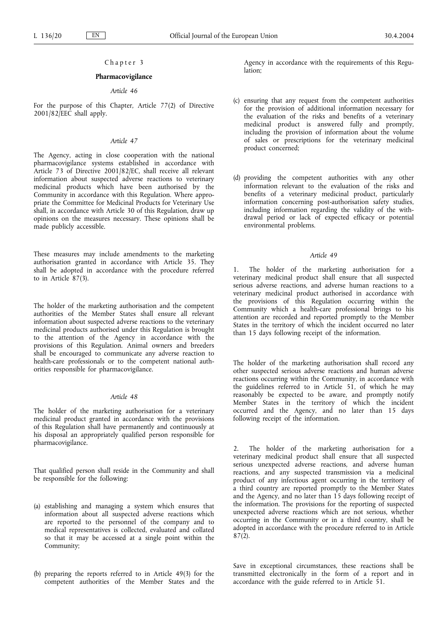# Chapter 3

### **Pharmacovigilance**

### *Article 46*

For the purpose of this Chapter, Article 77(2) of Directive  $2001/82$ *[EEC shall apply.* 

## *Article 47*

The Agency, acting in close cooperation with the national pharmacovigilance systems established in accordance with Article 73 of Directive 2001/82/EC, shall receive all relevant information about suspected adverse reactions to veterinary medicinal products which have been authorised by the Community in accordance with this Regulation. Where appropriate the Committee for Medicinal Products for Veterinary Use shall, in accordance with Article 30 of this Regulation, draw up opinions on the measures necessary. These opinions shall be made publicly accessible.

These measures may include amendments to the marketing authorisation granted in accordance with Article 35. They shall be adopted in accordance with the procedure referred to in Article  $87(3)$ .

The holder of the marketing authorisation and the competent authorities of the Member States shall ensure all relevant information about suspected adverse reactions to the veterinary medicinal products authorised under this Regulation is brought to the attention of the Agency in accordance with the provisions of this Regulation. Animal owners and breeders shall be encouraged to communicate any adverse reaction to health-care professionals or to the competent national authorities responsible for pharmacovigilance.

## *Article 48*

The holder of the marketing authorisation for a veterinary medicinal product granted in accordance with the provisions of this Regulation shall have permanently and continuously at his disposal an appropriately qualified person responsible for pharmacovigilance.

That qualified person shall reside in the Community and shall be responsible for the following:

- (a) establishing and managing a system which ensures that information about all suspected adverse reactions which are reported to the personnel of the company and to medical representatives is collected, evaluated and collated so that it may be accessed at a single point within the Community;
- (b) preparing the reports referred to in Article 49(3) for the competent authorities of the Member States and the

Agency in accordance with the requirements of this Regulation;

- (c) ensuring that any request from the competent authorities for the provision of additional information necessary for the evaluation of the risks and benefits of a veterinary medicinal product is answered fully and promptly, including the provision of information about the volume of sales or prescriptions for the veterinary medicinal product concerned;
- (d) providing the competent authorities with any other information relevant to the evaluation of the risks and benefits of a veterinary medicinal product, particularly information concerning post-authorisation safety studies, including information regarding the validity of the withdrawal period or lack of expected efficacy or potential environmental problems.

### *Article 49*

1. The holder of the marketing authorisation for a veterinary medicinal product shall ensure that all suspected serious adverse reactions, and adverse human reactions to a veterinary medicinal product authorised in accordance with the provisions of this Regulation occurring within the Community which a health-care professional brings to his attention are recorded and reported promptly to the Member States in the territory of which the incident occurred no later than 15 days following receipt of the information.

The holder of the marketing authorisation shall record any other suspected serious adverse reactions and human adverse reactions occurring within the Community, in accordance with the guidelines referred to in Article  $51$ , of which he may reasonably be expected to be aware, and promptly notify Member States in the territory of which the incident occurred and the Agency, and no later than 15 days following receipt of the information.

The holder of the marketing authorisation for a veterinary medicinal product shall ensure that all suspected serious unexpected adverse reactions, and adverse human reactions, and any suspected transmission via a medicinal product of any infectious agent occurring in the territory of a third country are reported promptly to the Member States and the Agency, and no later than 15 days following receipt of the information. The provisions for the reporting of suspected unexpected adverse reactions which are not serious, whether occurring in the Community or in a third country, shall be adopted in accordance with the procedure referred to in Article  $87(2)$ .

Save in exceptional circumstances, these reactions shall be transmitted electronically in the form of a report and in accordance with the guide referred to in Article 51.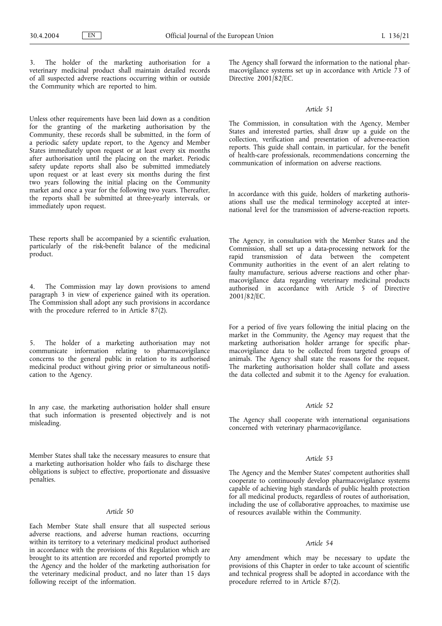The holder of the marketing authorisation for a veterinary medicinal product shall maintain detailed records of all suspected adverse reactions occurring within or outside the Community which are reported to him.

Unless other requirements have been laid down as a condition for the granting of the marketing authorisation by the Community, these records shall be submitted, in the form of a periodic safety update report, to the Agency and Member States immediately upon request or at least every six months after authorisation until the placing on the market. Periodic safety update reports shall also be submitted immediately upon request or at least every six months during the first two years following the initial placing on the Community market and once a year for the following two years. Thereafter, the reports shall be submitted at three-yearly intervals, or immediately upon request.

These reports shall be accompanied by a scientific evaluation, particularly of the risk-benefit balance of the medicinal product.

4. The Commission may lay down provisions to amend paragraph 3 in view of experience gained with its operation. The Commission shall adopt any such provisions in accordance with the procedure referred to in Article 87(2).

5. The holder of a marketing authorisation may not communicate information relating to pharmacovigilance concerns to the general public in relation to its authorised medicinal product without giving prior or simultaneous notification to the Agency.

In any case, the marketing authorisation holder shall ensure that such information is presented objectively and is not misleading.

Member States shall take the necessary measures to ensure that a marketing authorisation holder who fails to discharge these obligations is subject to effective, proportionate and dissuasive penalties.

## *Article 50*

Each Member State shall ensure that all suspected serious adverse reactions, and adverse human reactions, occurring within its territory to a veterinary medicinal product authorised in accordance with the provisions of this Regulation which are brought to its attention are recorded and reported promptly to the Agency and the holder of the marketing authorisation for the veterinary medicinal product, and no later than 15 days following receipt of the information.

The Agency shall forward the information to the national pharmacovigilance systems set up in accordance with Article 73 of Directive 2001/82/EC.

## *Article 51*

The Commission, in consultation with the Agency, Member States and interested parties, shall draw up a guide on the collection, verification and presentation of adverse-reaction reports. This guide shall contain, in particular, for the benefit of health-care professionals, recommendations concerning the communication of information on adverse reactions.

In accordance with this guide, holders of marketing authorisations shall use the medical terminology accepted at international level for the transmission of adverse-reaction reports.

The Agency, in consultation with the Member States and the Commission, shall set up a data-processing network for the rapid transmission of data between the competent Community authorities in the event of an alert relating to faulty manufacture, serious adverse reactions and other pharmacovigilance data regarding veterinary medicinal products authorised in accordance with Article 5 of Directive 2001/82/EC.

For a period of five years following the initial placing on the market in the Community, the Agency may request that the marketing authorisation holder arrange for specific pharmacovigilance data to be collected from targeted groups of animals. The Agency shall state the reasons for the request. The marketing authorisation holder shall collate and assess the data collected and submit it to the Agency for evaluation.

## *Article 52*

The Agency shall cooperate with international organisations concerned with veterinary pharmacovigilance.

# *Article 53*

The Agency and the Member States' competent authorities shall cooperate to continuously develop pharmacovigilance systems capable of achieving high standards of public health protection for all medicinal products, regardless of routes of authorisation, including the use of collaborative approaches, to maximise use of resources available within the Community.

## *Article 54*

Any amendment which may be necessary to update the provisions of this Chapter in order to take account of scientific and technical progress shall be adopted in accordance with the procedure referred to in Article  $87(2)$ .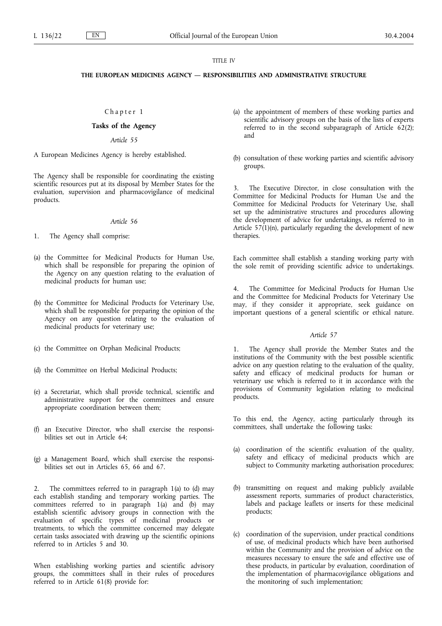### TITLE IV

# **THE EUROPEAN MEDICINES AGENCY — RESPONSIBILITIES AND ADMINISTRATIVE STRUCTURE**

## Chapter 1

# **Tasks of the Agency**

### *Article 55*

A European Medicines Agency is hereby established.

The Agency shall be responsible for coordinating the existing scientific resources put at its disposal by Member States for the evaluation, supervision and pharmacovigilance of medicinal products.

#### *Article 56*

1. The Agency shall comprise:

- (a) the Committee for Medicinal Products for Human Use, which shall be responsible for preparing the opinion of the Agency on any question relating to the evaluation of medicinal products for human use;
- (b) the Committee for Medicinal Products for Veterinary Use, which shall be responsible for preparing the opinion of the Agency on any question relating to the evaluation of medicinal products for veterinary use;
- (c) the Committee on Orphan Medicinal Products;
- (d) the Committee on Herbal Medicinal Products;
- (e) a Secretariat, which shall provide technical, scientific and administrative support for the committees and ensure appropriate coordination between them;
- (f) an Executive Director, who shall exercise the responsibilities set out in Article 64;
- (g) a Management Board, which shall exercise the responsibilities set out in Articles 65, 66 and 67.

2. The committees referred to in paragraph 1(a) to (d) may each establish standing and temporary working parties. The committees referred to in paragraph 1(a) and (b) may establish scientific advisory groups in connection with the evaluation of specific types of medicinal products or treatments, to which the committee concerned may delegate certain tasks associated with drawing up the scientific opinions referred to in Articles 5 and 30.

When establishing working parties and scientific advisory groups, the committees shall in their rules of procedures referred to in Article 61(8) provide for:

- (a) the appointment of members of these working parties and scientific advisory groups on the basis of the lists of experts referred to in the second subparagraph of Article  $62(2)$ ; and
- (b) consultation of these working parties and scientific advisory groups.

3. The Executive Director, in close consultation with the Committee for Medicinal Products for Human Use and the Committee for Medicinal Products for Veterinary Use, shall set up the administrative structures and procedures allowing the development of advice for undertakings, as referred to in Article  $57(1)(n)$ , particularly regarding the development of new therapies.

Each committee shall establish a standing working party with the sole remit of providing scientific advice to undertakings.

4. The Committee for Medicinal Products for Human Use and the Committee for Medicinal Products for Veterinary Use may, if they consider it appropriate, seek guidance on important questions of a general scientific or ethical nature.

## *Article 57*

1. The Agency shall provide the Member States and the institutions of the Community with the best possible scientific advice on any question relating to the evaluation of the quality, safety and efficacy of medicinal products for human or veterinary use which is referred to it in accordance with the provisions of Community legislation relating to medicinal products.

To this end, the Agency, acting particularly through its committees, shall undertake the following tasks:

- (a) coordination of the scientific evaluation of the quality, safety and efficacy of medicinal products which are subject to Community marketing authorisation procedures;
- (b) transmitting on request and making publicly available assessment reports, summaries of product characteristics, labels and package leaflets or inserts for these medicinal products;
- (c) coordination of the supervision, under practical conditions of use, of medicinal products which have been authorised within the Community and the provision of advice on the measures necessary to ensure the safe and effective use of these products, in particular by evaluation, coordination of the implementation of pharmacovigilance obligations and the monitoring of such implementation;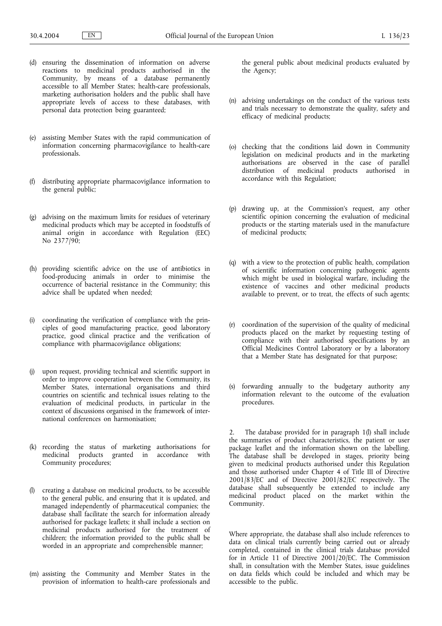- (d) ensuring the dissemination of information on adverse reactions to medicinal products authorised in the Community, by means of a database permanently accessible to all Member States; health-care professionals, marketing authorisation holders and the public shall have appropriate levels of access to these databases, with personal data protection being guaranteed;
- (e) assisting Member States with the rapid communication of information concerning pharmacovigilance to health-care professionals.
- (f) distributing appropriate pharmacovigilance information to the general public;
- (g) advising on the maximum limits for residues of veterinary medicinal products which may be accepted in foodstuffs of animal origin in accordance with Regulation (EEC) No  $2377/90$ ;
- (h) providing scientific advice on the use of antibiotics in food-producing animals in order to minimise the occurrence of bacterial resistance in the Community; this advice shall be updated when needed;
- (i) coordinating the verification of compliance with the principles of good manufacturing practice, good laboratory practice, good clinical practice and the verification of compliance with pharmacovigilance obligations;
- (j) upon request, providing technical and scientific support in order to improve cooperation between the Community, its Member States, international organisations and third countries on scientific and technical issues relating to the evaluation of medicinal products, in particular in the context of discussions organised in the framework of international conferences on harmonisation;
- (k) recording the status of marketing authorisations for medicinal products granted in accordance with Community procedures;
- (l) creating a database on medicinal products, to be accessible to the general public, and ensuring that it is updated, and managed independently of pharmaceutical companies; the database shall facilitate the search for information already authorised for package leaflets; it shall include a section on medicinal products authorised for the treatment of children; the information provided to the public shall be worded in an appropriate and comprehensible manner;
- (m) assisting the Community and Member States in the provision of information to health-care professionals and

the general public about medicinal products evaluated by the Agency;

- (n) advising undertakings on the conduct of the various tests and trials necessary to demonstrate the quality, safety and efficacy of medicinal products;
- (o) checking that the conditions laid down in Community legislation on medicinal products and in the marketing authorisations are observed in the case of parallel distribution of medicinal products authorised in accordance with this Regulation;
- (p) drawing up, at the Commission's request, any other scientific opinion concerning the evaluation of medicinal products or the starting materials used in the manufacture of medicinal products;
- (q) with a view to the protection of public health, compilation of scientific information concerning pathogenic agents which might be used in biological warfare, including the existence of vaccines and other medicinal products available to prevent, or to treat, the effects of such agents;
- (r) coordination of the supervision of the quality of medicinal products placed on the market by requesting testing of compliance with their authorised specifications by an Official Medicines Control Laboratory or by a laboratory that a Member State has designated for that purpose;
- (s) forwarding annually to the budgetary authority any information relevant to the outcome of the evaluation procedures.

2. The database provided for in paragraph 1(l) shall include the summaries of product characteristics, the patient or user package leaflet and the information shown on the labelling. The database shall be developed in stages, priority being given to medicinal products authorised under this Regulation and those authorised under Chapter 4 of Title III of Directive 2001/83/EC and of Directive 2001/82/EC respectively. The database shall subsequently be extended to include any medicinal product placed on the market within the Community.

Where appropriate, the database shall also include references to data on clinical trials currently being carried out or already completed, contained in the clinical trials database provided for in Article 11 of Directive 2001/20/EC. The Commission shall, in consultation with the Member States, issue guidelines on data fields which could be included and which may be accessible to the public.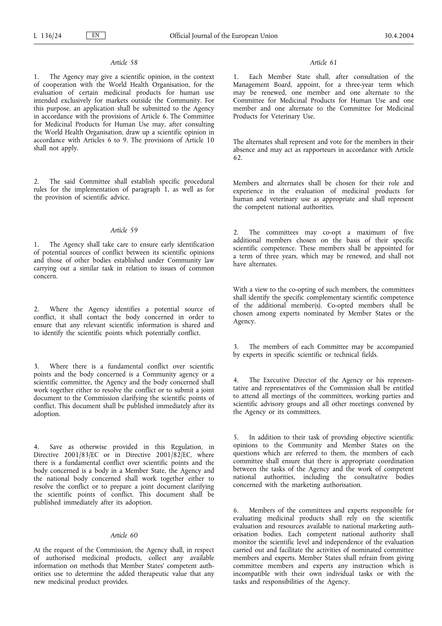The Agency may give a scientific opinion, in the context of cooperation with the World Health Organisation, for the evaluation of certain medicinal products for human use intended exclusively for markets outside the Community. For this purpose, an application shall be submitted to the Agency in accordance with the provisions of Article 6. The Committee for Medicinal Products for Human Use may, after consulting the World Health Organisation, draw up a scientific opinion in accordance with Articles 6 to 9. The provisions of Article 10 shall not apply.

2. The said Committee shall establish specific procedural rules for the implementation of paragraph 1, as well as for the provision of scientific advice.

# *Article 59*

1. The Agency shall take care to ensure early identification of potential sources of conflict between its scientific opinions and those of other bodies established under Community law carrying out a similar task in relation to issues of common concern.

2. Where the Agency identifies a potential source of conflict, it shall contact the body concerned in order to ensure that any relevant scientific information is shared and to identify the scientific points which potentially conflict.

3. Where there is a fundamental conflict over scientific points and the body concerned is a Community agency or a scientific committee, the Agency and the body concerned shall work together either to resolve the conflict or to submit a joint document to the Commission clarifying the scientific points of conflict. This document shall be published immediately after its adoption.

4. Save as otherwise provided in this Regulation, in Directive 2001/83/EC or in Directive 2001/82/EC, where there is a fundamental conflict over scientific points and the body concerned is a body in a Member State, the Agency and the national body concerned shall work together either to resolve the conflict or to prepare a joint document clarifying the scientific points of conflict. This document shall be published immediately after its adoption.

#### *Article 60*

At the request of the Commission, the Agency shall, in respect of authorised medicinal products, collect any available information on methods that Member States' competent authorities use to determine the added therapeutic value that any new medicinal product provides.

## *Article 61*

Each Member State shall, after consultation of the Management Board, appoint, for a three-year term which may be renewed, one member and one alternate to the Committee for Medicinal Products for Human Use and one member and one alternate to the Committee for Medicinal Products for Veterinary Use.

The alternates shall represent and vote for the members in their absence and may act as rapporteurs in accordance with Article 62.

Members and alternates shall be chosen for their role and experience in the evaluation of medicinal products for human and veterinary use as appropriate and shall represent the competent national authorities.

2. The committees may co-opt a maximum of five additional members chosen on the basis of their specific scientific competence. These members shall be appointed for a term of three years, which may be renewed, and shall not have alternates.

With a view to the co-opting of such members, the committees shall identify the specific complementary scientific competence of the additional member(s). Co-opted members shall be chosen among experts nominated by Member States or the Agency.

3. The members of each Committee may be accompanied by experts in specific scientific or technical fields.

4. The Executive Director of the Agency or his representative and representatives of the Commission shall be entitled to attend all meetings of the committees, working parties and scientific advisory groups and all other meetings convened by the Agency or its committees.

In addition to their task of providing objective scientific opinions to the Community and Member States on the questions which are referred to them, the members of each committee shall ensure that there is appropriate coordination between the tasks of the Agency and the work of competent national authorities, including the consultative bodies concerned with the marketing authorisation.

6. Members of the committees and experts responsible for evaluating medicinal products shall rely on the scientific evaluation and resources available to national marketing authorisation bodies. Each competent national authority shall monitor the scientific level and independence of the evaluation carried out and facilitate the activities of nominated committee members and experts. Member States shall refrain from giving committee members and experts any instruction which is incompatible with their own individual tasks or with the tasks and responsibilities of the Agency.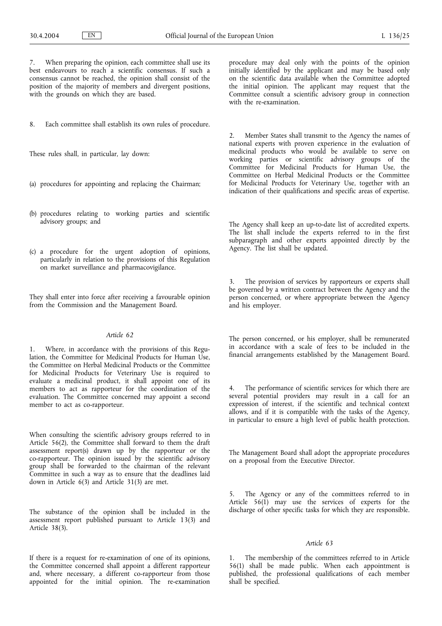7. When preparing the opinion, each committee shall use its best endeavours to reach a scientific consensus. If such a consensus cannot be reached, the opinion shall consist of the position of the majority of members and divergent positions, with the grounds on which they are based.

8. Each committee shall establish its own rules of procedure.

These rules shall, in particular, lay down:

- (a) procedures for appointing and replacing the Chairman;
- (b) procedures relating to working parties and scientific advisory groups; and
- (c) a procedure for the urgent adoption of opinions, particularly in relation to the provisions of this Regulation on market surveillance and pharmacovigilance.

They shall enter into force after receiving a favourable opinion from the Commission and the Management Board.

#### *Article 62*

Where, in accordance with the provisions of this Regulation, the Committee for Medicinal Products for Human Use, the Committee on Herbal Medicinal Products or the Committee for Medicinal Products for Veterinary Use is required to evaluate a medicinal product, it shall appoint one of its members to act as rapporteur for the coordination of the evaluation. The Committee concerned may appoint a second member to act as co-rapporteur.

When consulting the scientific advisory groups referred to in Article 56(2), the Committee shall forward to them the draft assessment report(s) drawn up by the rapporteur or the co-rapporteur. The opinion issued by the scientific advisory group shall be forwarded to the chairman of the relevant Committee in such a way as to ensure that the deadlines laid down in Article 6(3) and Article 31(3) are met.

The substance of the opinion shall be included in the assessment report published pursuant to Article 13(3) and Article 38(3).

If there is a request for re-examination of one of its opinions, the Committee concerned shall appoint a different rapporteur and, where necessary, a different co-rapporteur from those appointed for the initial opinion. The re-examination procedure may deal only with the points of the opinion initially identified by the applicant and may be based only on the scientific data available when the Committee adopted the initial opinion. The applicant may request that the Committee consult a scientific advisory group in connection with the re-examination.

Member States shall transmit to the Agency the names of national experts with proven experience in the evaluation of medicinal products who would be available to serve on working parties or scientific advisory groups of the Committee for Medicinal Products for Human Use, the Committee on Herbal Medicinal Products or the Committee for Medicinal Products for Veterinary Use, together with an indication of their qualifications and specific areas of expertise.

The Agency shall keep an up-to-date list of accredited experts. The list shall include the experts referred to in the first subparagraph and other experts appointed directly by the Agency. The list shall be updated.

3. The provision of services by rapporteurs or experts shall be governed by a written contract between the Agency and the person concerned, or where appropriate between the Agency and his employer.

The person concerned, or his employer, shall be remunerated in accordance with a scale of fees to be included in the financial arrangements established by the Management Board.

4. The performance of scientific services for which there are several potential providers may result in a call for an expression of interest, if the scientific and technical context allows, and if it is compatible with the tasks of the Agency, in particular to ensure a high level of public health protection.

The Management Board shall adopt the appropriate procedures on a proposal from the Executive Director.

5. The Agency or any of the committees referred to in Article  $56(1)$  may use the services of experts for the discharge of other specific tasks for which they are responsible.

## *Article 63*

1. The membership of the committees referred to in Article 56(1) shall be made public. When each appointment is published, the professional qualifications of each member shall be specified.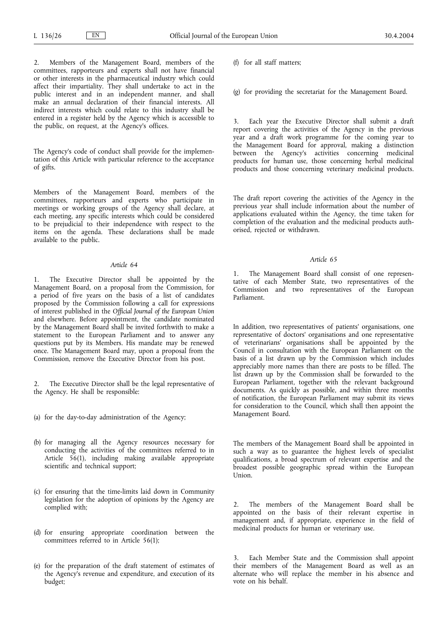Members of the Management Board, members of the committees, rapporteurs and experts shall not have financial or other interests in the pharmaceutical industry which could affect their impartiality. They shall undertake to act in the public interest and in an independent manner, and shall make an annual declaration of their financial interests. All indirect interests which could relate to this industry shall be entered in a register held by the Agency which is accessible to the public, on request, at the Agency's offices.

The Agency's code of conduct shall provide for the implementation of this Article with particular reference to the acceptance of gifts.

Members of the Management Board, members of the committees, rapporteurs and experts who participate in meetings or working groups of the Agency shall declare, at each meeting, any specific interests which could be considered to be prejudicial to their independence with respect to the items on the agenda. These declarations shall be made available to the public.

### *Article 64*

1. The Executive Director shall be appointed by the Management Board, on a proposal from the Commission, for a period of five years on the basis of a list of candidates proposed by the Commission following a call for expressions of interest published in the *Official Journal of the European Union* and elsewhere. Before appointment, the candidate nominated by the Management Board shall be invited forthwith to make a statement to the European Parliament and to answer any questions put by its Members. His mandate may be renewed once. The Management Board may, upon a proposal from the Commission, remove the Executive Director from his post.

2. The Executive Director shall be the legal representative of the Agency. He shall be responsible:

- (a) for the day-to-day administration of the Agency;
- (b) for managing all the Agency resources necessary for conducting the activities of the committees referred to in Article 56(1), including making available appropriate scientific and technical support;
- (c) for ensuring that the time-limits laid down in Community legislation for the adoption of opinions by the Agency are complied with;
- (d) for ensuring appropriate coordination between the committees referred to in Article 56(1);
- (e) for the preparation of the draft statement of estimates of the Agency's revenue and expenditure, and execution of its budget;

(f) for all staff matters;

(g) for providing the secretariat for the Management Board.

3. Each year the Executive Director shall submit a draft report covering the activities of the Agency in the previous year and a draft work programme for the coming year to the Management Board for approval, making a distinction between the Agency's activities concerning medicinal products for human use, those concerning herbal medicinal products and those concerning veterinary medicinal products.

The draft report covering the activities of the Agency in the previous year shall include information about the number of applications evaluated within the Agency, the time taken for completion of the evaluation and the medicinal products authorised, rejected or withdrawn.

*Article 65*

1. The Management Board shall consist of one representative of each Member State, two representatives of the Commission and two representatives of the European Parliament.

In addition, two representatives of patients' organisations, one representative of doctors' organisations and one representative of veterinarians' organisations shall be appointed by the Council in consultation with the European Parliament on the basis of a list drawn up by the Commission which includes appreciably more names than there are posts to be filled. The list drawn up by the Commission shall be forwarded to the European Parliament, together with the relevant background documents. As quickly as possible, and within three months of notification, the European Parliament may submit its views for consideration to the Council, which shall then appoint the Management Board.

The members of the Management Board shall be appointed in such a way as to guarantee the highest levels of specialist qualifications, a broad spectrum of relevant expertise and the broadest possible geographic spread within the European Union.

The members of the Management Board shall be appointed on the basis of their relevant expertise in management and, if appropriate, experience in the field of medicinal products for human or veterinary use.

Each Member State and the Commission shall appoint their members of the Management Board as well as an alternate who will replace the member in his absence and vote on his behalf.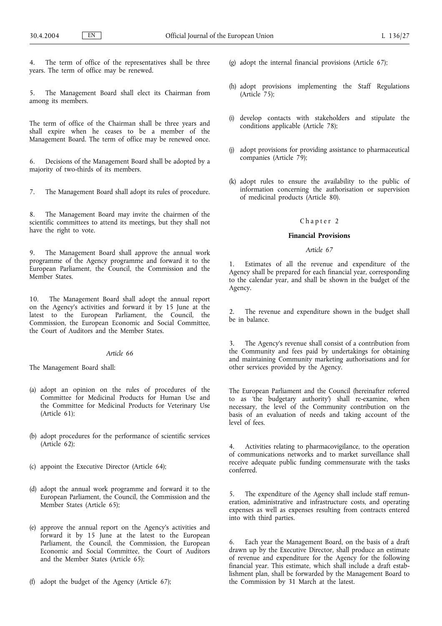The term of office of the representatives shall be three years. The term of office may be renewed.

5. The Management Board shall elect its Chairman from among its members.

The term of office of the Chairman shall be three years and shall expire when he ceases to be a member of the Management Board. The term of office may be renewed once.

6. Decisions of the Management Board shall be adopted by a majority of two-thirds of its members.

7. The Management Board shall adopt its rules of procedure.

8. The Management Board may invite the chairmen of the scientific committees to attend its meetings, but they shall not have the right to vote.

9. The Management Board shall approve the annual work programme of the Agency programme and forward it to the European Parliament, the Council, the Commission and the Member States.

10. The Management Board shall adopt the annual report on the Agency's activities and forward it by 15 June at the latest to the European Parliament, the Council, the Commission, the European Economic and Social Committee, the Court of Auditors and the Member States.

# *Article 66*

The Management Board shall:

- (a) adopt an opinion on the rules of procedures of the Committee for Medicinal Products for Human Use and the Committee for Medicinal Products for Veterinary Use (Article 61);
- (b) adopt procedures for the performance of scientific services (Article 62);
- (c) appoint the Executive Director (Article 64);
- (d) adopt the annual work programme and forward it to the European Parliament, the Council, the Commission and the Member States (Article 65);
- (e) approve the annual report on the Agency's activities and forward it by 15 June at the latest to the European Parliament, the Council, the Commission, the European Economic and Social Committee, the Court of Auditors and the Member States (Article 65);
- (f) adopt the budget of the Agency (Article 67);
- (g) adopt the internal financial provisions (Article 67);
- (h) adopt provisions implementing the Staff Regulations  $(A<sup>right</sup>$   $75)$ ;
- (i) develop contacts with stakeholders and stipulate the conditions applicable (Article 78);
- (j) adopt provisions for providing assistance to pharmaceutical companies (Article 79);
- (k) adopt rules to ensure the availability to the public of information concerning the authorisation or supervision of medicinal products (Article 80).

### Chapter 2

### **Financial Provisions**

# *Article 67*

1. Estimates of all the revenue and expenditure of the Agency shall be prepared for each financial year, corresponding to the calendar year, and shall be shown in the budget of the Agency.

2. The revenue and expenditure shown in the budget shall be in balance.

3. The Agency's revenue shall consist of a contribution from the Community and fees paid by undertakings for obtaining and maintaining Community marketing authorisations and for other services provided by the Agency.

The European Parliament and the Council (hereinafter referred to as 'the budgetary authority') shall re-examine, when necessary, the level of the Community contribution on the basis of an evaluation of needs and taking account of the level of fees.

4. Activities relating to pharmacovigilance, to the operation of communications networks and to market surveillance shall receive adequate public funding commensurate with the tasks conferred.

The expenditure of the Agency shall include staff remuneration, administrative and infrastructure costs, and operating expenses as well as expenses resulting from contracts entered into with third parties.

6. Each year the Management Board, on the basis of a draft drawn up by the Executive Director, shall produce an estimate of revenue and expenditure for the Agency for the following financial year. This estimate, which shall include a draft establishment plan, shall be forwarded by the Management Board to the Commission by 31 March at the latest.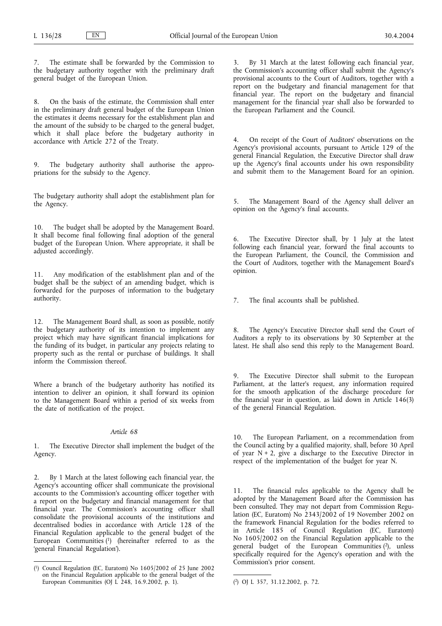The estimate shall be forwarded by the Commission to the budgetary authority together with the preliminary draft general budget of the European Union.

8. On the basis of the estimate, the Commission shall enter in the preliminary draft general budget of the European Union the estimates it deems necessary for the establishment plan and the amount of the subsidy to be charged to the general budget, which it shall place before the budgetary authority in accordance with Article 272 of the Treaty.

The budgetary authority shall authorise the appropriations for the subsidy to the Agency.

The budgetary authority shall adopt the establishment plan for the Agency.

10. The budget shall be adopted by the Management Board. It shall become final following final adoption of the general budget of the European Union. Where appropriate, it shall be adjusted accordingly.

Any modification of the establishment plan and of the budget shall be the subject of an amending budget, which is forwarded for the purposes of information to the budgetary authority.

12. The Management Board shall, as soon as possible, notify the budgetary authority of its intention to implement any project which may have significant financial implications for the funding of its budget, in particular any projects relating to property such as the rental or purchase of buildings. It shall inform the Commission thereof.

Where a branch of the budgetary authority has notified its intention to deliver an opinion, it shall forward its opinion to the Management Board within a period of six weeks from the date of notification of the project.

### *Article 68*

1. The Executive Director shall implement the budget of the Agency.

2. By 1 March at the latest following each financial year, the Agency's accounting officer shall communicate the provisional accounts to the Commission's accounting officer together with a report on the budgetary and financial management for that financial year. The Commission's accounting officer shall consolidate the provisional accounts of the institutions and decentralised bodies in accordance with Article 128 of the Financial Regulation applicable to the general budget of the European Communities  $(1)$  (hereinafter referred to as the 'general Financial Regulation').

3. By 31 March at the latest following each financial year, the Commission's accounting officer shall submit the Agency's provisional accounts to the Court of Auditors, together with a report on the budgetary and financial management for that financial year. The report on the budgetary and financial management for the financial year shall also be forwarded to the European Parliament and the Council.

4. On receipt of the Court of Auditors' observations on the Agency's provisional accounts, pursuant to Article 129 of the general Financial Regulation, the Executive Director shall draw up the Agency's final accounts under his own responsibility and submit them to the Management Board for an opinion.

5. The Management Board of the Agency shall deliver an opinion on the Agency's final accounts.

6. The Executive Director shall, by 1 July at the latest following each financial year, forward the final accounts to the European Parliament, the Council, the Commission and the Court of Auditors, together with the Management Board's opinion.

7. The final accounts shall be published.

8. The Agency's Executive Director shall send the Court of Auditors a reply to its observations by 30 September at the latest. He shall also send this reply to the Management Board.

9. The Executive Director shall submit to the European Parliament, at the latter's request, any information required for the smooth application of the discharge procedure for the financial year in question, as laid down in Article 146(3) of the general Financial Regulation.

10. The European Parliament, on a recommendation from the Council acting by a qualified majority, shall, before 30 April of year  $N + 2$ , give a discharge to the Executive Director in respect of the implementation of the budget for year N.

11. The financial rules applicable to the Agency shall be adopted by the Management Board after the Commission has been consulted. They may not depart from Commission Regulation (EC, Euratom) No 2343/2002 of 19 November 2002 on the framework Financial Regulation for the bodies referred to in Article 185 of Council Regulation (EC, Euratom) No 1605/2002 on the Financial Regulation applicable to the general budget of the European Communities (2), unless specifically required for the Agency's operation and with the Commission's prior consent.

 $(1)$ 1) Council Regulation (EC, Euratom) No 1605/2002 of 25 June 2002 on the Financial Regulation applicable to the general budget of the European Communities (OJ  $\vec{L}$  248, 16.9.2002, p. 1).

<sup>2)</sup> OJ L 357, 31.12.2002, p. 72.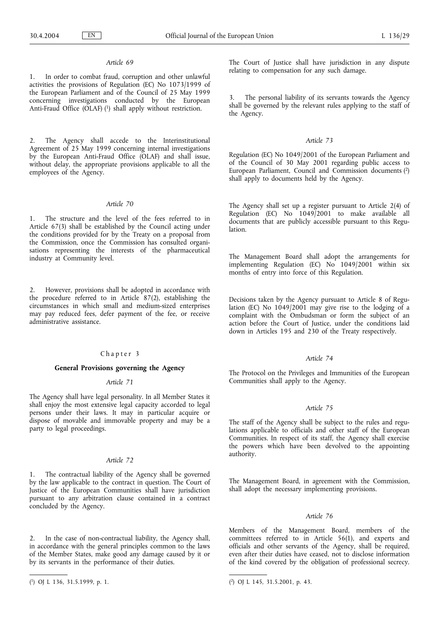1. In order to combat fraud, corruption and other unlawful activities the provisions of Regulation (EC) No 1073/1999 of the European Parliament and of the Council of 25 May 1999 concerning investigations conducted by the European Anti-Fraud Office (OLAF) (1) shall apply without restriction.

2. The Agency shall accede to the Interinstitutional Agreement of 25 May 1999 concerning internal investigations by the European Anti-Fraud Office (OLAF) and shall issue, without delay, the appropriate provisions applicable to all the employees of the Agency.

#### *Article 70*

1. The structure and the level of the fees referred to in Article 67(3) shall be established by the Council acting under the conditions provided for by the Treaty on a proposal from the Commission, once the Commission has consulted organisations representing the interests of the pharmaceutical industry at Community level.

2. However, provisions shall be adopted in accordance with the procedure referred to in Article 87(2), establishing the circumstances in which small and medium-sized enterprises may pay reduced fees, defer payment of the fee, or receive administrative assistance.

### Chapter 3

## **General Provisions governing the Agency**

# *Article 71*

The Agency shall have legal personality. In all Member States it shall enjoy the most extensive legal capacity accorded to legal persons under their laws. It may in particular acquire or dispose of movable and immovable property and may be a party to legal proceedings.

### *Article 72*

1. The contractual liability of the Agency shall be governed by the law applicable to the contract in question. The Court of Justice of the European Communities shall have jurisdiction pursuant to any arbitration clause contained in a contract concluded by the Agency.

2. In the case of non-contractual liability, the Agency shall, in accordance with the general principles common to the laws of the Member States, make good any damage caused by it or by its servants in the performance of their duties.

The Court of Justice shall have jurisdiction in any dispute relating to compensation for any such damage.

3. The personal liability of its servants towards the Agency shall be governed by the relevant rules applying to the staff of the Agency.

#### *Article 73*

Regulation (EC) No 1049/2001 of the European Parliament and of the Council of 30 May 2001 regarding public access to European Parliament, Council and Commission documents (2) shall apply to documents held by the Agency.

The Agency shall set up a register pursuant to Article 2(4) of Regulation (EC) No 1049/2001 to make available all documents that are publicly accessible pursuant to this Regulation.

The Management Board shall adopt the arrangements for implementing Regulation (EC) No 1049/2001 within six months of entry into force of this Regulation.

Decisions taken by the Agency pursuant to Article 8 of Regulation (EC) No 1049/2001 may give rise to the lodging of a complaint with the Ombudsman or form the subject of an action before the Court of Justice, under the conditions laid down in Articles 195 and 230 of the Treaty respectively.

#### *Article 74*

The Protocol on the Privileges and Immunities of the European Communities shall apply to the Agency.

## *Article 75*

The staff of the Agency shall be subject to the rules and regulations applicable to officials and other staff of the European Communities. In respect of its staff, the Agency shall exercise the powers which have been devolved to the appointing authority.

The Management Board, in agreement with the Commission, shall adopt the necessary implementing provisions.

## *Article 76*

Members of the Management Board, members of the committees referred to in Article 56(1), and experts and officials and other servants of the Agency, shall be required, even after their duties have ceased, not to disclose information of the kind covered by the obligation of professional secrecy.

<sup>(</sup> 1) OJ L 136, 31.5.1999, p. 1. (

<sup>2)</sup> OJ L 145, 31.5.2001, p. 43.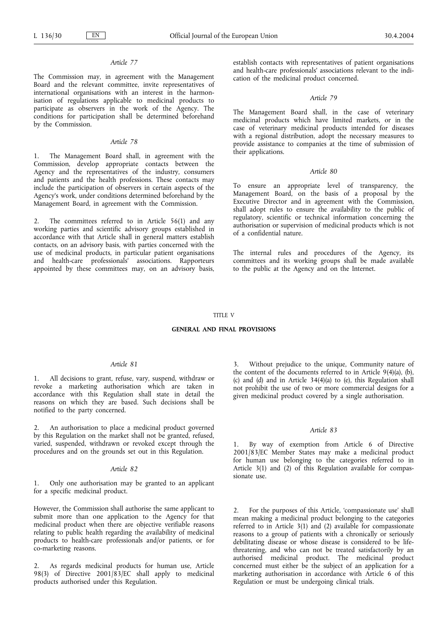The Commission may, in agreement with the Management Board and the relevant committee, invite representatives of international organisations with an interest in the harmonisation of regulations applicable to medicinal products to participate as observers in the work of the Agency. The conditions for participation shall be determined beforehand by the Commission.

# *Article 78*

The Management Board shall, in agreement with the Commission, develop appropriate contacts between the Agency and the representatives of the industry, consumers and patients and the health professions. These contacts may include the participation of observers in certain aspects of the Agency's work, under conditions determined beforehand by the Management Board, in agreement with the Commission.

2. The committees referred to in Article 56(1) and any working parties and scientific advisory groups established in accordance with that Article shall in general matters establish contacts, on an advisory basis, with parties concerned with the use of medicinal products, in particular patient organisations and health-care professionals' associations. Rapporteurs appointed by these committees may, on an advisory basis, establish contacts with representatives of patient organisations and health-care professionals' associations relevant to the indication of the medicinal product concerned.

#### *Article 79*

The Management Board shall, in the case of veterinary medicinal products which have limited markets, or in the case of veterinary medicinal products intended for diseases with a regional distribution, adopt the necessary measures to provide assistance to companies at the time of submission of their applications.

### *Article 80*

To ensure an appropriate level of transparency, the Management Board, on the basis of a proposal by the Executive Director and in agreement with the Commission, shall adopt rules to ensure the availability to the public of regulatory, scientific or technical information concerning the authorisation or supervision of medicinal products which is not of a confidential nature.

The internal rules and procedures of the Agency, its committees and its working groups shall be made available to the public at the Agency and on the Internet.

#### TITLE V

### **GENERAL AND FINAL PROVISIONS**

### *Article 81*

1. All decisions to grant, refuse, vary, suspend, withdraw or revoke a marketing authorisation which are taken in accordance with this Regulation shall state in detail the reasons on which they are based. Such decisions shall be notified to the party concerned.

2. An authorisation to place a medicinal product governed by this Regulation on the market shall not be granted, refused, varied, suspended, withdrawn or revoked except through the procedures and on the grounds set out in this Regulation.

#### *Article 82*

1. Only one authorisation may be granted to an applicant for a specific medicinal product.

However, the Commission shall authorise the same applicant to submit more than one application to the Agency for that medicinal product when there are objective verifiable reasons relating to public health regarding the availability of medicinal products to health-care professionals and/or patients, or for co-marketing reasons.

2. As regards medicinal products for human use, Article 98(3) of Directive 2001/83/EC shall apply to medicinal products authorised under this Regulation.

Without prejudice to the unique, Community nature of the content of the documents referred to in Article 9(4)(a), (b), (c) and (d) and in Article 34(4)(a) to (e), this Regulation shall not prohibit the use of two or more commercial designs for a given medicinal product covered by a single authorisation.

## *Article 83*

By way of exemption from Article 6 of Directive 2001/83/EC Member States may make a medicinal product for human use belonging to the categories referred to in Article 3(1) and (2) of this Regulation available for compassionate use.

2. For the purposes of this Article, 'compassionate use' shall mean making a medicinal product belonging to the categories referred to in Article 3(1) and (2) available for compassionate reasons to a group of patients with a chronically or seriously debilitating disease or whose disease is considered to be lifethreatening, and who can not be treated satisfactorily by an authorised medicinal product. The medicinal product concerned must either be the subject of an application for a marketing authorisation in accordance with Article 6 of this Regulation or must be undergoing clinical trials.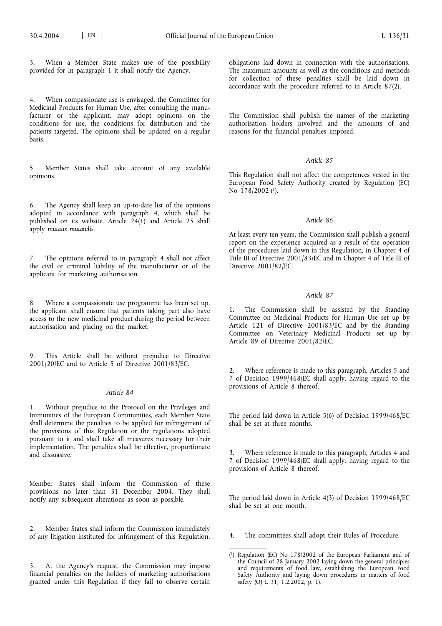When a Member State makes use of the possibility provided for in paragraph 1 it shall notify the Agency.

When compassionate use is envisaged, the Committee for Medicinal Products for Human Use, after consulting the manufacturer or the applicant, may adopt opinions on the conditions for use, the conditions for distribution and the patients targeted. The opinions shall be updated on a regular basis.

5. Member States shall take account of any available opinions.

6. The Agency shall keep an up-to-date list of the opinions adopted in accordance with paragraph 4, which shall be published on its website. Article  $24(1)$  and Article 25 shall apply *mutatis mutandis*.

7. The opinions referred to in paragraph 4 shall not affect the civil or criminal liability of the manufacturer or of the applicant for marketing authorisation.

8. Where a compassionate use programme has been set up, the applicant shall ensure that patients taking part also have access to the new medicinal product during the period between authorisation and placing on the market.

9. This Article shall be without prejudice to Directive 2001/20/EC and to Article 5 of Directive 2001/83/EC.

#### *Article 84*

1. Without prejudice to the Protocol on the Privileges and Immunities of the European Communities, each Member State shall determine the penalties to be applied for infringement of the provisions of this Regulation or the regulations adopted pursuant to it and shall take all measures necessary for their implementation. The penalties shall be effective, proportionate and dissuasive.

Member States shall inform the Commission of these provisions no later than 31 December 2004. They shall notify any subsequent alterations as soon as possible.

2. Member States shall inform the Commission immediately of any litigation instituted for infringement of this Regulation.

3. At the Agency's request, the Commission may impose financial penalties on the holders of marketing authorisations granted under this Regulation if they fail to observe certain

obligations laid down in connection with the authorisations. The maximum amounts as well as the conditions and methods for collection of these penalties shall be laid down in accordance with the procedure referred to in Article 87(2).

The Commission shall publish the names of the marketing authorisation holders involved and the amounts of and reasons for the financial penalties imposed.

## *Article 85*

This Regulation shall not affect the competences vested in the European Food Safety Authority created by Regulation (EC) No  $\frac{178}{2002}$  (1).

### *Article 86*

At least every ten years, the Commission shall publish a general report on the experience acquired as a result of the operation of the procedures laid down in this Regulation, in Chapter 4 of Title III of Directive 2001/83/EC and in Chapter 4 of Title III of Directive 2001/82/EC.

#### *Article 87*

1. The Commission shall be assisted by the Standing Committee on Medicinal Products for Human Use set up by Article 121 of Directive 2001/83/EC and by the Standing Committee on Veterinary Medicinal Products set up by Article 89 of Directive 2001/82/EC.

2. Where reference is made to this paragraph, Articles 5 and 7 of Decision 1999/468/EC shall apply, having regard to the provisions of Article 8 thereof.

The period laid down in Article 5(6) of Decision 1999/468/EC shall be set at three months.

Where reference is made to this paragraph, Articles 4 and 7 of Decision 1999/468/EC shall apply, having regard to the provisions of Article 8 thereof.

The period laid down in Article 4(3) of Decision 1999/468/EC shall be set at one month.

4. The committees shall adopt their Rules of Procedure.

<sup>(</sup> 1) Regulation (EC) No 178/2002 of the European Parliament and of the Council of 28 January 2002 laying down the general principles and requirements of food law, establishing the European Food Safety Authority and laying down procedures in matters of food safety (OJ L 31, 1.2.2002, p. 1).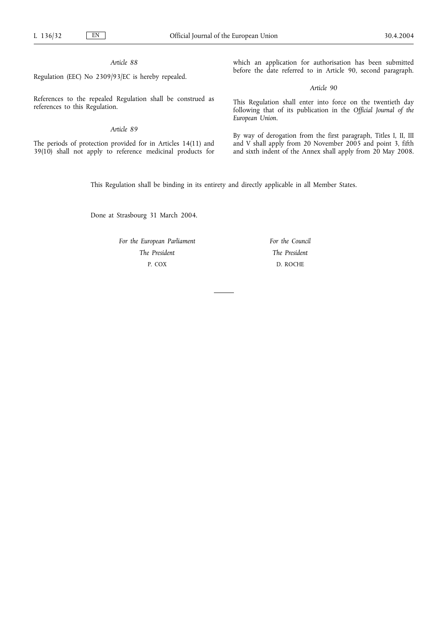Regulation (EEC) No 2309/93/EC is hereby repealed.

References to the repealed Regulation shall be construed as references to this Regulation.

# *Article 89*

The periods of protection provided for in Articles 14(11) and 39(10) shall not apply to reference medicinal products for which an application for authorisation has been submitted before the date referred to in Article 90, second paragraph.

*Article 90*

This Regulation shall enter into force on the twentieth day following that of its publication in the *Official Journal of the European Union*.

By way of derogation from the first paragraph, Titles I, II, III and V shall apply from 20 November 2005 and point 3, fifth and sixth indent of the Annex shall apply from 20 May 2008.

This Regulation shall be binding in its entirety and directly applicable in all Member States.

Done at Strasbourg 31 March 2004.

*For the European Parliament The President* P. COX

*For the Council The President* D. ROCHE